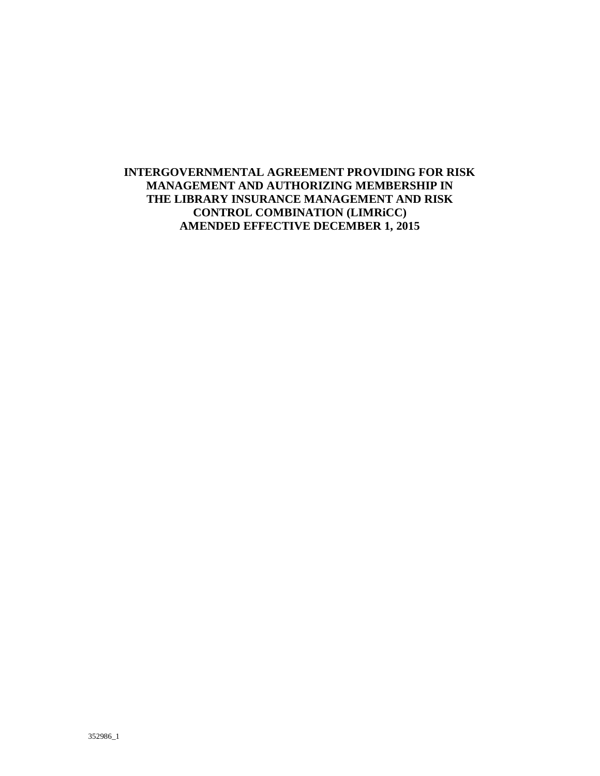# **INTERGOVERNMENTAL AGREEMENT PROVIDING FOR RISK MANAGEMENT AND AUTHORIZING MEMBERSHIP IN THE LIBRARY INSURANCE MANAGEMENT AND RISK CONTROL COMBINATION (LIMRiCC) AMENDED EFFECTIVE DECEMBER 1, 2015**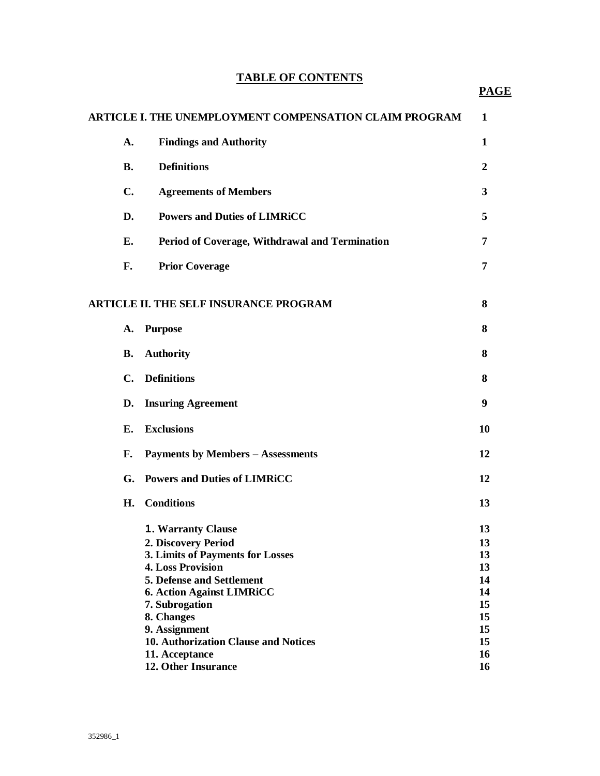# **TABLE OF CONTENTS**

|                | <b>ARTICLE I. THE UNEMPLOYMENT COMPENSATION CLAIM PROGRAM</b>                                                                                                                                                                                                                                              | 1                                                              |
|----------------|------------------------------------------------------------------------------------------------------------------------------------------------------------------------------------------------------------------------------------------------------------------------------------------------------------|----------------------------------------------------------------|
| A.             | <b>Findings and Authority</b>                                                                                                                                                                                                                                                                              | 1                                                              |
| <b>B.</b>      | <b>Definitions</b>                                                                                                                                                                                                                                                                                         | $\overline{2}$                                                 |
| C.             | <b>Agreements of Members</b>                                                                                                                                                                                                                                                                               | 3                                                              |
| D.             | <b>Powers and Duties of LIMRiCC</b>                                                                                                                                                                                                                                                                        | 5                                                              |
| E.             | Period of Coverage, Withdrawal and Termination                                                                                                                                                                                                                                                             | 7                                                              |
| F.             | <b>Prior Coverage</b>                                                                                                                                                                                                                                                                                      | 7                                                              |
|                | <b>ARTICLE II. THE SELF INSURANCE PROGRAM</b>                                                                                                                                                                                                                                                              | 8                                                              |
| A.             | <b>Purpose</b>                                                                                                                                                                                                                                                                                             | 8                                                              |
| <b>B.</b>      | <b>Authority</b>                                                                                                                                                                                                                                                                                           | 8                                                              |
| $\mathbf{C}$ . | <b>Definitions</b>                                                                                                                                                                                                                                                                                         | 8                                                              |
| D.             | <b>Insuring Agreement</b>                                                                                                                                                                                                                                                                                  | 9                                                              |
| E.             | <b>Exclusions</b>                                                                                                                                                                                                                                                                                          | 10                                                             |
| F.             | <b>Payments by Members - Assessments</b>                                                                                                                                                                                                                                                                   | 12                                                             |
| G.             | <b>Powers and Duties of LIMRICC</b>                                                                                                                                                                                                                                                                        | 12                                                             |
| H.             | <b>Conditions</b>                                                                                                                                                                                                                                                                                          | 13                                                             |
|                | <b>1. Warranty Clause</b><br>2. Discovery Period<br>3. Limits of Payments for Losses<br><b>4. Loss Provision</b><br><b>5. Defense and Settlement</b><br><b>6. Action Against LIMRICC</b><br>7. Subrogation<br>8. Changes<br>9. Assignment<br><b>10. Authorization Clause and Notices</b><br>11. Acceptance | 13<br>13<br>13<br>13<br>14<br>14<br>15<br>15<br>15<br>15<br>16 |
|                | 12. Other Insurance                                                                                                                                                                                                                                                                                        | 16                                                             |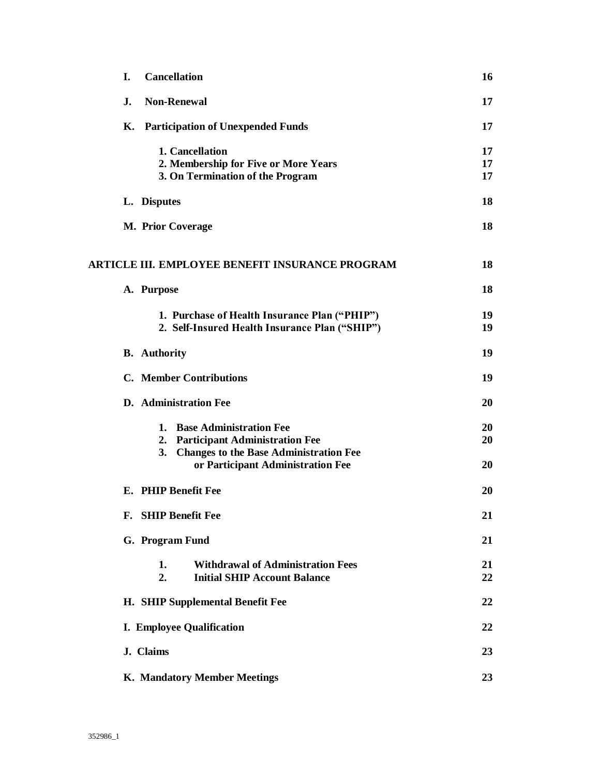| L. | <b>Cancellation</b>                                                                                                                                         | 16             |
|----|-------------------------------------------------------------------------------------------------------------------------------------------------------------|----------------|
| J. | <b>Non-Renewal</b>                                                                                                                                          | 17             |
|    | K. Participation of Unexpended Funds                                                                                                                        | 17             |
|    | 1. Cancellation<br>2. Membership for Five or More Years<br>3. On Termination of the Program                                                                 | 17<br>17<br>17 |
|    | L. Disputes                                                                                                                                                 | 18             |
|    | <b>M. Prior Coverage</b>                                                                                                                                    | 18             |
|    | ARTICLE III. EMPLOYEE BENEFIT INSURANCE PROGRAM                                                                                                             | 18             |
|    | A. Purpose                                                                                                                                                  | 18             |
|    | 1. Purchase of Health Insurance Plan ("PHIP")<br>2. Self-Insured Health Insurance Plan ("SHIP")                                                             | 19<br>19       |
|    | <b>B.</b> Authority                                                                                                                                         | 19             |
|    | <b>C.</b> Member Contributions                                                                                                                              | 19             |
|    | <b>D.</b> Administration Fee                                                                                                                                | 20             |
|    | 1. Base Administration Fee<br>2. Participant Administration Fee<br><b>Changes to the Base Administration Fee</b><br>3.<br>or Participant Administration Fee | 20<br>20<br>20 |
|    | E. PHIP Benefit Fee                                                                                                                                         | 20             |
|    | F. SHIP Benefit Fee                                                                                                                                         | 21             |
|    | G. Program Fund                                                                                                                                             | 21             |
|    | <b>Withdrawal of Administration Fees</b><br>1.<br><b>Initial SHIP Account Balance</b><br>2.                                                                 | 21<br>22       |
|    | H. SHIP Supplemental Benefit Fee                                                                                                                            | 22             |
|    | <b>I. Employee Qualification</b>                                                                                                                            | 22             |
|    | J. Claims                                                                                                                                                   | 23             |
|    | K. Mandatory Member Meetings                                                                                                                                | 23             |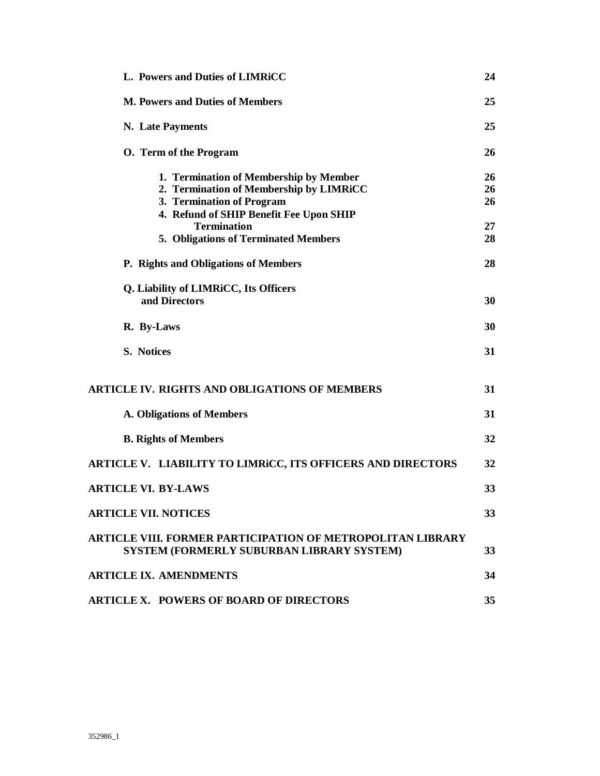| L. Powers and Duties of LIMRICC                                                                         | 24 |
|---------------------------------------------------------------------------------------------------------|----|
| <b>M. Powers and Duties of Members</b>                                                                  | 25 |
| N. Late Payments                                                                                        | 25 |
| O. Term of the Program                                                                                  | 26 |
| 1. Termination of Membership by Member                                                                  | 26 |
| 2. Termination of Membership by LIMRiCC                                                                 | 26 |
| 3. Termination of Program                                                                               | 26 |
| 4. Refund of SHIP Benefit Fee Upon SHIP                                                                 |    |
| <b>Termination</b>                                                                                      | 27 |
| 5. Obligations of Terminated Members                                                                    | 28 |
| P. Rights and Obligations of Members                                                                    | 28 |
| Q. Liability of LIMRiCC, Its Officers                                                                   |    |
| and Directors                                                                                           | 30 |
| R. By-Laws                                                                                              | 30 |
| S. Notices                                                                                              | 31 |
| <b>ARTICLE IV. RIGHTS AND OBLIGATIONS OF MEMBERS</b>                                                    | 31 |
| <b>A. Obligations of Members</b>                                                                        | 31 |
| <b>B. Rights of Members</b>                                                                             | 32 |
| <b>ARTICLE V. LIABILITY TO LIMRICC, ITS OFFICERS AND DIRECTORS</b>                                      | 32 |
| <b>ARTICLE VI. BY-LAWS</b>                                                                              | 33 |
| <b>ARTICLE VII. NOTICES</b>                                                                             | 33 |
| ARTICLE VIII. FORMER PARTICIPATION OF METROPOLITAN LIBRARY<br>SYSTEM (FORMERLY SUBURBAN LIBRARY SYSTEM) | 33 |
| <b>ARTICLE IX. AMENDMENTS</b>                                                                           | 34 |
| <b>ARTICLE X. POWERS OF BOARD OF DIRECTORS</b>                                                          | 35 |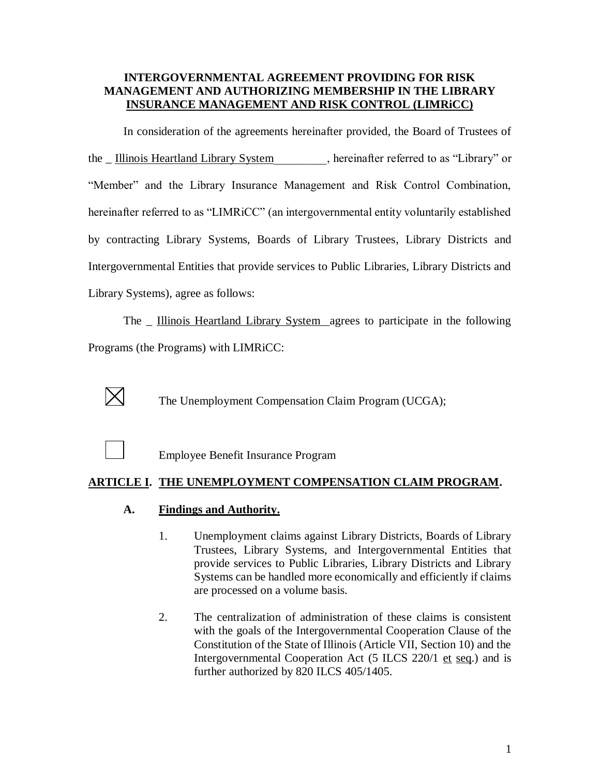## **INTERGOVERNMENTAL AGREEMENT PROVIDING FOR RISK MANAGEMENT AND AUTHORIZING MEMBERSHIP IN THE LIBRARY INSURANCE MANAGEMENT AND RISK CONTROL (LIMRiCC)**

In consideration of the agreements hereinafter provided, the Board of Trustees of the \_ Illinois Heartland Library System (but are instituted to as "Library" or "Member" and the Library Insurance Management and Risk Control Combination, hereinafter referred to as "LIMRiCC" (an intergovernmental entity voluntarily established by contracting Library Systems, Boards of Library Trustees, Library Districts and Intergovernmental Entities that provide services to Public Libraries, Library Districts and Library Systems), agree as follows:

The \_ Illinois Heartland Library System agrees to participate in the following Programs (the Programs) with LIMRiCC:



The Unemployment Compensation Claim Program (UCGA);



Employee Benefit Insurance Program

# **ARTICLE I. THE UNEMPLOYMENT COMPENSATION CLAIM PROGRAM.**

# **A. Findings and Authority.**

- 1. Unemployment claims against Library Districts, Boards of Library Trustees, Library Systems, and Intergovernmental Entities that provide services to Public Libraries, Library Districts and Library Systems can be handled more economically and efficiently if claims are processed on a volume basis.
- 2. The centralization of administration of these claims is consistent with the goals of the Intergovernmental Cooperation Clause of the Constitution of the State of Illinois (Article VII, Section 10) and the Intergovernmental Cooperation Act (5 ILCS 220/1 et seq.) and is further authorized by 820 ILCS 405/1405.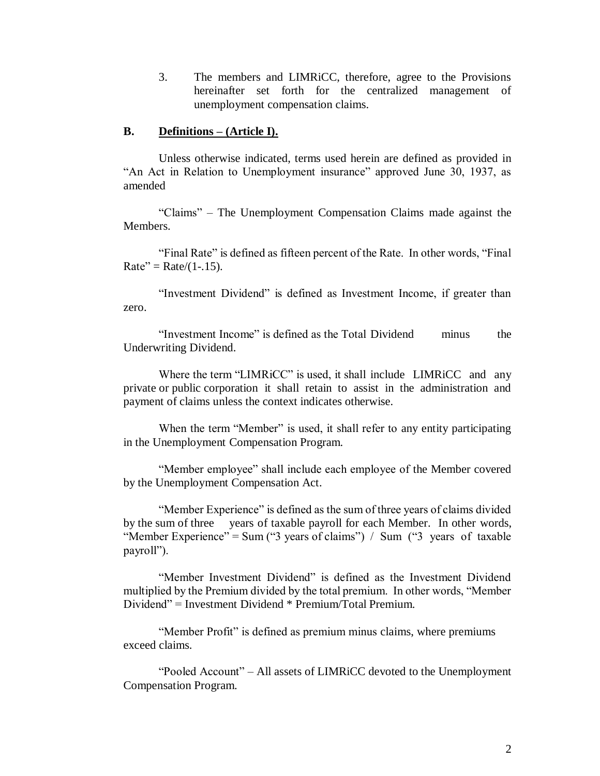3. The members and LIMRiCC, therefore, agree to the Provisions hereinafter set forth for the centralized management of unemployment compensation claims.

### **B. Definitions – (Article I).**

Unless otherwise indicated, terms used herein are defined as provided in "An Act in Relation to Unemployment insurance" approved June 30, 1937, as amended

"Claims" – The Unemployment Compensation Claims made against the Members.

"Final Rate" is defined as fifteen percent of the Rate. In other words, "Final  $Rate'' = Rate/(1-.15)$ .

"Investment Dividend" is defined as Investment Income, if greater than zero.

"Investment Income" is defined as the Total Dividend minus the Underwriting Dividend.

Where the term "LIMRiCC" is used, it shall include LIMRiCC and any private or public corporation it shall retain to assist in the administration and payment of claims unless the context indicates otherwise.

When the term "Member" is used, it shall refer to any entity participating in the Unemployment Compensation Program.

"Member employee" shall include each employee of the Member covered by the Unemployment Compensation Act.

"Member Experience" is defined as the sum of three years of claims divided by the sum of three years of taxable payroll for each Member. In other words, "Member Experience" = Sum ("3 years of claims") / Sum ("3 years of taxable payroll").

"Member Investment Dividend" is defined as the Investment Dividend multiplied by the Premium divided by the total premium. In other words, "Member Dividend" = Investment Dividend \* Premium/Total Premium.

"Member Profit" is defined as premium minus claims, where premiums exceed claims.

"Pooled Account" – All assets of LIMRiCC devoted to the Unemployment Compensation Program.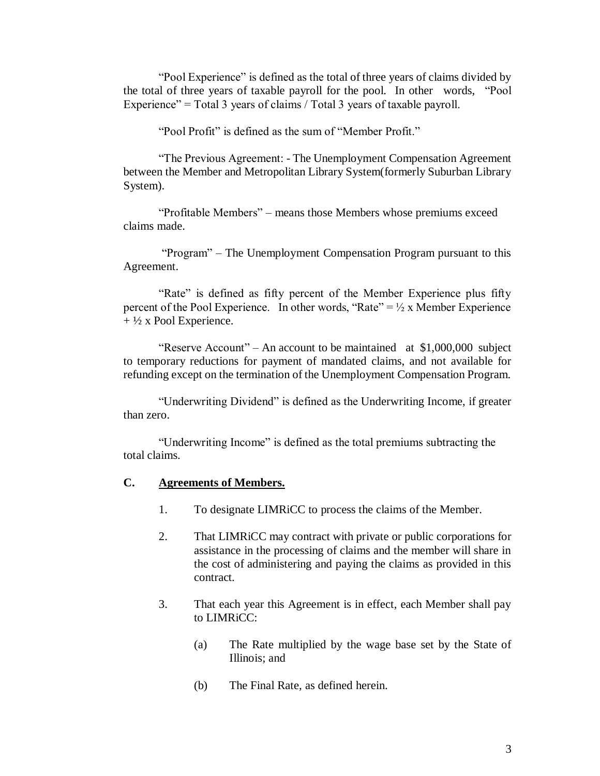"Pool Experience" is defined as the total of three years of claims divided by the total of three years of taxable payroll for the pool. In other words, "Pool Experience" = Total 3 years of claims / Total 3 years of taxable payroll.

"Pool Profit" is defined as the sum of "Member Profit."

"The Previous Agreement: - The Unemployment Compensation Agreement between the Member and Metropolitan Library System(formerly Suburban Library System).

"Profitable Members" – means those Members whose premiums exceed claims made.

"Program" – The Unemployment Compensation Program pursuant to this Agreement.

"Rate" is defined as fifty percent of the Member Experience plus fifty percent of the Pool Experience. In other words, "Rate" =  $\frac{1}{2}$  x Member Experience  $+ \frac{1}{2}$  x Pool Experience.

"Reserve Account" – An account to be maintained at \$1,000,000 subject to temporary reductions for payment of mandated claims, and not available for refunding except on the termination of the Unemployment Compensation Program.

"Underwriting Dividend" is defined as the Underwriting Income, if greater than zero.

"Underwriting Income" is defined as the total premiums subtracting the total claims.

#### **C. Agreements of Members.**

- 1. To designate LIMRiCC to process the claims of the Member.
- 2. That LIMRiCC may contract with private or public corporations for assistance in the processing of claims and the member will share in the cost of administering and paying the claims as provided in this contract.
- 3. That each year this Agreement is in effect, each Member shall pay to LIMRiCC:
	- (a) The Rate multiplied by the wage base set by the State of Illinois; and
	- (b) The Final Rate, as defined herein.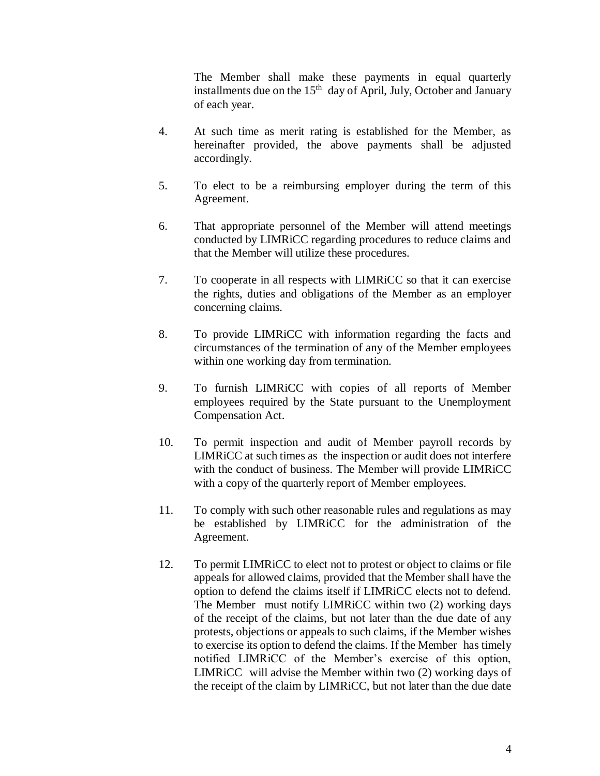The Member shall make these payments in equal quarterly installments due on the 15<sup>th</sup> day of April, July, October and January of each year.

- 4. At such time as merit rating is established for the Member, as hereinafter provided, the above payments shall be adjusted accordingly.
- 5. To elect to be a reimbursing employer during the term of this Agreement.
- 6. That appropriate personnel of the Member will attend meetings conducted by LIMRiCC regarding procedures to reduce claims and that the Member will utilize these procedures.
- 7. To cooperate in all respects with LIMRiCC so that it can exercise the rights, duties and obligations of the Member as an employer concerning claims.
- 8. To provide LIMRiCC with information regarding the facts and circumstances of the termination of any of the Member employees within one working day from termination.
- 9. To furnish LIMRiCC with copies of all reports of Member employees required by the State pursuant to the Unemployment Compensation Act.
- 10. To permit inspection and audit of Member payroll records by LIMRiCC at such times as the inspection or audit does not interfere with the conduct of business. The Member will provide LIMRiCC with a copy of the quarterly report of Member employees.
- 11. To comply with such other reasonable rules and regulations as may be established by LIMRiCC for the administration of the Agreement.
- 12. To permit LIMRiCC to elect not to protest or object to claims or file appeals for allowed claims, provided that the Member shall have the option to defend the claims itself if LIMRiCC elects not to defend. The Member must notify LIMRiCC within two (2) working days of the receipt of the claims, but not later than the due date of any protests, objections or appeals to such claims, if the Member wishes to exercise its option to defend the claims. If the Member has timely notified LIMRiCC of the Member's exercise of this option, LIMRiCC will advise the Member within two (2) working days of the receipt of the claim by LIMRiCC, but not later than the due date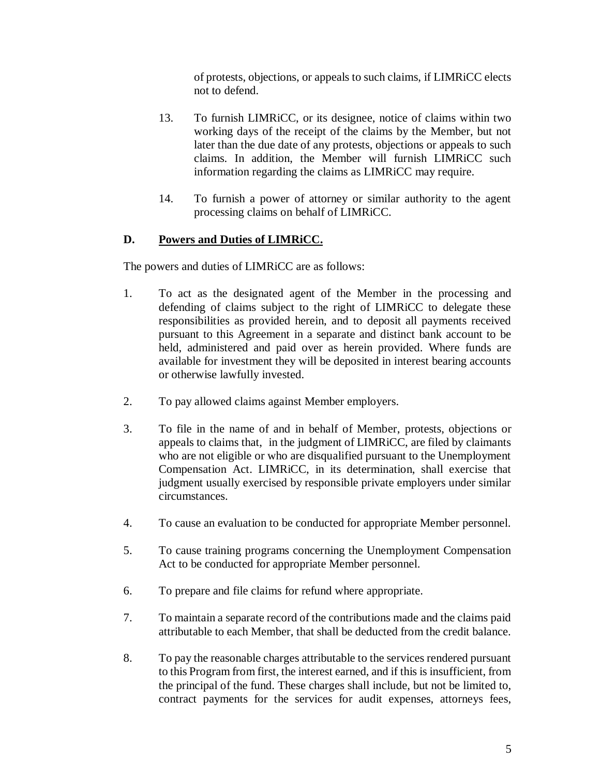of protests, objections, or appeals to such claims, if LIMRiCC elects not to defend.

- 13. To furnish LIMRiCC, or its designee, notice of claims within two working days of the receipt of the claims by the Member, but not later than the due date of any protests, objections or appeals to such claims. In addition, the Member will furnish LIMRiCC such information regarding the claims as LIMRiCC may require.
- 14. To furnish a power of attorney or similar authority to the agent processing claims on behalf of LIMRiCC.

# **D. Powers and Duties of LIMRiCC.**

The powers and duties of LIMRiCC are as follows:

- 1. To act as the designated agent of the Member in the processing and defending of claims subject to the right of LIMRiCC to delegate these responsibilities as provided herein, and to deposit all payments received pursuant to this Agreement in a separate and distinct bank account to be held, administered and paid over as herein provided. Where funds are available for investment they will be deposited in interest bearing accounts or otherwise lawfully invested.
- 2. To pay allowed claims against Member employers.
- 3. To file in the name of and in behalf of Member, protests, objections or appeals to claims that, in the judgment of LIMRiCC, are filed by claimants who are not eligible or who are disqualified pursuant to the Unemployment Compensation Act. LIMRiCC, in its determination, shall exercise that judgment usually exercised by responsible private employers under similar circumstances.
- 4. To cause an evaluation to be conducted for appropriate Member personnel.
- 5. To cause training programs concerning the Unemployment Compensation Act to be conducted for appropriate Member personnel.
- 6. To prepare and file claims for refund where appropriate.
- 7. To maintain a separate record of the contributions made and the claims paid attributable to each Member, that shall be deducted from the credit balance.
- 8. To pay the reasonable charges attributable to the services rendered pursuant to this Program from first, the interest earned, and if this is insufficient, from the principal of the fund. These charges shall include, but not be limited to, contract payments for the services for audit expenses, attorneys fees,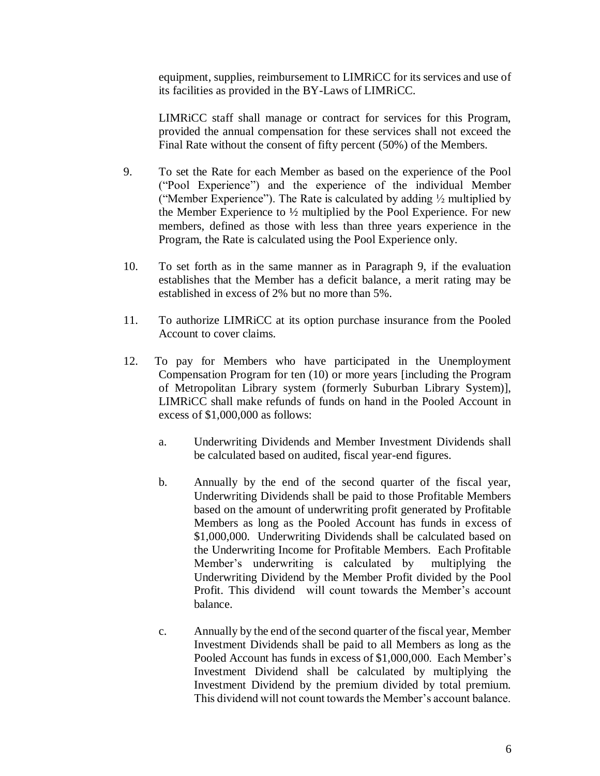equipment, supplies, reimbursement to LIMRiCC for its services and use of its facilities as provided in the BY-Laws of LIMRiCC.

LIMRiCC staff shall manage or contract for services for this Program, provided the annual compensation for these services shall not exceed the Final Rate without the consent of fifty percent (50%) of the Members.

- 9. To set the Rate for each Member as based on the experience of the Pool ("Pool Experience") and the experience of the individual Member ("Member Experience"). The Rate is calculated by adding ½ multiplied by the Member Experience to ½ multiplied by the Pool Experience. For new members, defined as those with less than three years experience in the Program, the Rate is calculated using the Pool Experience only.
- 10. To set forth as in the same manner as in Paragraph 9, if the evaluation establishes that the Member has a deficit balance, a merit rating may be established in excess of 2% but no more than 5%.
- 11. To authorize LIMRiCC at its option purchase insurance from the Pooled Account to cover claims.
- 12. To pay for Members who have participated in the Unemployment Compensation Program for ten (10) or more years [including the Program of Metropolitan Library system (formerly Suburban Library System)], LIMRiCC shall make refunds of funds on hand in the Pooled Account in excess of \$1,000,000 as follows:
	- a. Underwriting Dividends and Member Investment Dividends shall be calculated based on audited, fiscal year-end figures.
	- b. Annually by the end of the second quarter of the fiscal year, Underwriting Dividends shall be paid to those Profitable Members based on the amount of underwriting profit generated by Profitable Members as long as the Pooled Account has funds in excess of \$1,000,000. Underwriting Dividends shall be calculated based on the Underwriting Income for Profitable Members. Each Profitable Member's underwriting is calculated by multiplying the Underwriting Dividend by the Member Profit divided by the Pool Profit. This dividend will count towards the Member's account balance.
	- c. Annually by the end of the second quarter of the fiscal year, Member Investment Dividends shall be paid to all Members as long as the Pooled Account has funds in excess of \$1,000,000. Each Member's Investment Dividend shall be calculated by multiplying the Investment Dividend by the premium divided by total premium. This dividend will not count towards the Member's account balance.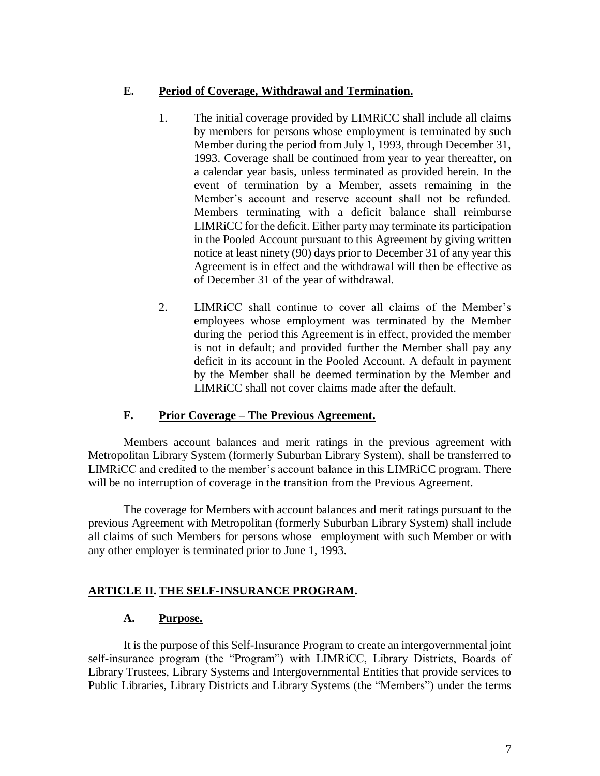## **E. Period of Coverage, Withdrawal and Termination.**

- 1. The initial coverage provided by LIMRiCC shall include all claims by members for persons whose employment is terminated by such Member during the period from July 1, 1993, through December 31, 1993. Coverage shall be continued from year to year thereafter, on a calendar year basis, unless terminated as provided herein. In the event of termination by a Member, assets remaining in the Member's account and reserve account shall not be refunded. Members terminating with a deficit balance shall reimburse LIMRiCC for the deficit. Either party may terminate its participation in the Pooled Account pursuant to this Agreement by giving written notice at least ninety (90) days prior to December 31 of any year this Agreement is in effect and the withdrawal will then be effective as of December 31 of the year of withdrawal.
- 2. LIMRiCC shall continue to cover all claims of the Member's employees whose employment was terminated by the Member during the period this Agreement is in effect, provided the member is not in default; and provided further the Member shall pay any deficit in its account in the Pooled Account. A default in payment by the Member shall be deemed termination by the Member and LIMRiCC shall not cover claims made after the default.

# **F. Prior Coverage – The Previous Agreement.**

Members account balances and merit ratings in the previous agreement with Metropolitan Library System (formerly Suburban Library System), shall be transferred to LIMRiCC and credited to the member's account balance in this LIMRiCC program. There will be no interruption of coverage in the transition from the Previous Agreement.

The coverage for Members with account balances and merit ratings pursuant to the previous Agreement with Metropolitan (formerly Suburban Library System) shall include all claims of such Members for persons whose employment with such Member or with any other employer is terminated prior to June 1, 1993.

# **ARTICLE II. THE SELF-INSURANCE PROGRAM.**

### **A. Purpose.**

It is the purpose of this Self-Insurance Program to create an intergovernmental joint self-insurance program (the "Program") with LIMRiCC, Library Districts, Boards of Library Trustees, Library Systems and Intergovernmental Entities that provide services to Public Libraries, Library Districts and Library Systems (the "Members") under the terms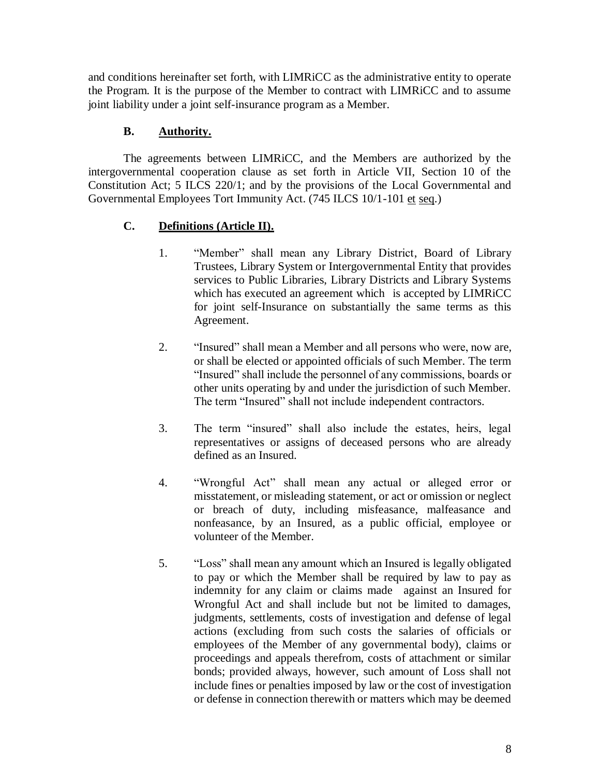and conditions hereinafter set forth, with LIMRiCC as the administrative entity to operate the Program. It is the purpose of the Member to contract with LIMRiCC and to assume joint liability under a joint self-insurance program as a Member.

# **B. Authority.**

The agreements between LIMRiCC, and the Members are authorized by the intergovernmental cooperation clause as set forth in Article VII, Section 10 of the Constitution Act; 5 ILCS 220/1; and by the provisions of the Local Governmental and Governmental Employees Tort Immunity Act. (745 ILCS 10/1-101 et seq.)

# **C. Definitions (Article II).**

- 1. "Member" shall mean any Library District, Board of Library Trustees, Library System or Intergovernmental Entity that provides services to Public Libraries, Library Districts and Library Systems which has executed an agreement which is accepted by LIMRiCC for joint self-Insurance on substantially the same terms as this Agreement.
- 2. "Insured" shall mean a Member and all persons who were, now are, or shall be elected or appointed officials of such Member. The term "Insured" shall include the personnel of any commissions, boards or other units operating by and under the jurisdiction of such Member. The term "Insured" shall not include independent contractors.
- 3. The term "insured" shall also include the estates, heirs, legal representatives or assigns of deceased persons who are already defined as an Insured.
- 4. "Wrongful Act" shall mean any actual or alleged error or misstatement, or misleading statement, or act or omission or neglect or breach of duty, including misfeasance, malfeasance and nonfeasance, by an Insured, as a public official, employee or volunteer of the Member.
- 5. "Loss" shall mean any amount which an Insured is legally obligated to pay or which the Member shall be required by law to pay as indemnity for any claim or claims made against an Insured for Wrongful Act and shall include but not be limited to damages, judgments, settlements, costs of investigation and defense of legal actions (excluding from such costs the salaries of officials or employees of the Member of any governmental body), claims or proceedings and appeals therefrom, costs of attachment or similar bonds; provided always, however, such amount of Loss shall not include fines or penalties imposed by law or the cost of investigation or defense in connection therewith or matters which may be deemed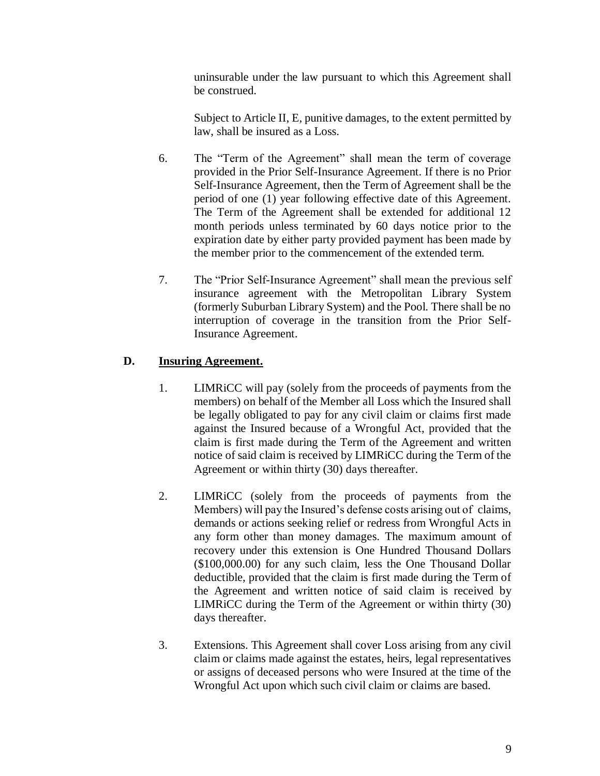uninsurable under the law pursuant to which this Agreement shall be construed.

Subject to Article II, E, punitive damages, to the extent permitted by law, shall be insured as a Loss.

- 6. The "Term of the Agreement" shall mean the term of coverage provided in the Prior Self-Insurance Agreement. If there is no Prior Self-Insurance Agreement, then the Term of Agreement shall be the period of one (1) year following effective date of this Agreement. The Term of the Agreement shall be extended for additional 12 month periods unless terminated by 60 days notice prior to the expiration date by either party provided payment has been made by the member prior to the commencement of the extended term.
- 7. The "Prior Self-Insurance Agreement" shall mean the previous self insurance agreement with the Metropolitan Library System (formerly Suburban Library System) and the Pool. There shall be no interruption of coverage in the transition from the Prior Self-Insurance Agreement.

# **D. Insuring Agreement.**

- 1. LIMRiCC will pay (solely from the proceeds of payments from the members) on behalf of the Member all Loss which the Insured shall be legally obligated to pay for any civil claim or claims first made against the Insured because of a Wrongful Act, provided that the claim is first made during the Term of the Agreement and written notice of said claim is received by LIMRiCC during the Term of the Agreement or within thirty (30) days thereafter.
- 2. LIMRiCC (solely from the proceeds of payments from the Members) will pay the Insured's defense costs arising out of claims, demands or actions seeking relief or redress from Wrongful Acts in any form other than money damages. The maximum amount of recovery under this extension is One Hundred Thousand Dollars (\$100,000.00) for any such claim, less the One Thousand Dollar deductible, provided that the claim is first made during the Term of the Agreement and written notice of said claim is received by LIMRiCC during the Term of the Agreement or within thirty (30) days thereafter.
- 3. Extensions. This Agreement shall cover Loss arising from any civil claim or claims made against the estates, heirs, legal representatives or assigns of deceased persons who were Insured at the time of the Wrongful Act upon which such civil claim or claims are based.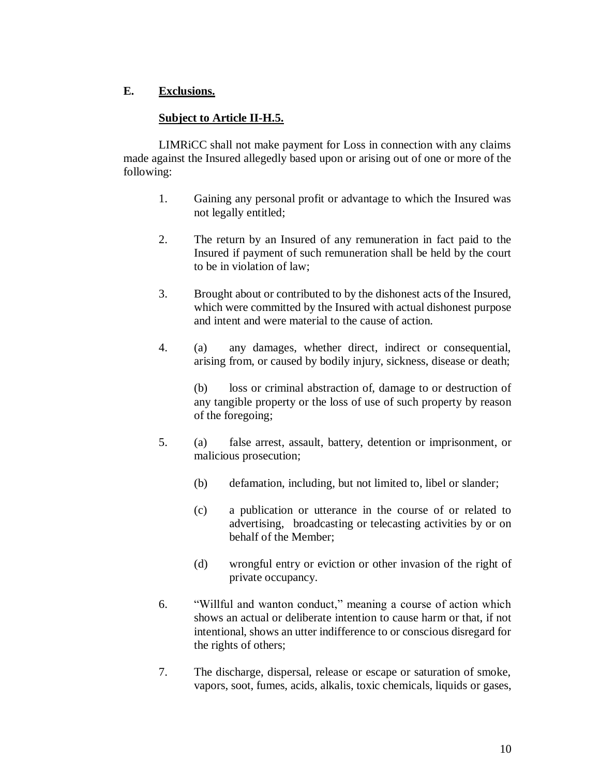# **E. Exclusions.**

# **Subject to Article II-H.5.**

LIMRiCC shall not make payment for Loss in connection with any claims made against the Insured allegedly based upon or arising out of one or more of the following:

- 1. Gaining any personal profit or advantage to which the Insured was not legally entitled;
- 2. The return by an Insured of any remuneration in fact paid to the Insured if payment of such remuneration shall be held by the court to be in violation of law;
- 3. Brought about or contributed to by the dishonest acts of the Insured, which were committed by the Insured with actual dishonest purpose and intent and were material to the cause of action.
- 4. (a) any damages, whether direct, indirect or consequential, arising from, or caused by bodily injury, sickness, disease or death;

(b) loss or criminal abstraction of, damage to or destruction of any tangible property or the loss of use of such property by reason of the foregoing;

- 5. (a) false arrest, assault, battery, detention or imprisonment, or malicious prosecution;
	- (b) defamation, including, but not limited to, libel or slander;
	- (c) a publication or utterance in the course of or related to advertising, broadcasting or telecasting activities by or on behalf of the Member;
	- (d) wrongful entry or eviction or other invasion of the right of private occupancy.
- 6. "Willful and wanton conduct," meaning a course of action which shows an actual or deliberate intention to cause harm or that, if not intentional, shows an utter indifference to or conscious disregard for the rights of others;
- 7. The discharge, dispersal, release or escape or saturation of smoke, vapors, soot, fumes, acids, alkalis, toxic chemicals, liquids or gases,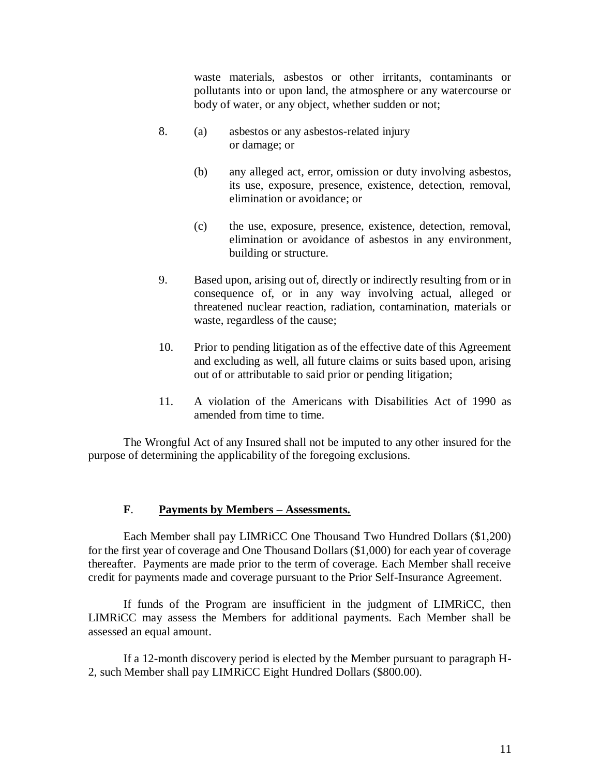waste materials, asbestos or other irritants, contaminants or pollutants into or upon land, the atmosphere or any watercourse or body of water, or any object, whether sudden or not;

- 8. (a) asbestos or any asbestos-related injury or damage; or
	- (b) any alleged act, error, omission or duty involving asbestos, its use, exposure, presence, existence, detection, removal, elimination or avoidance; or
	- (c) the use, exposure, presence, existence, detection, removal, elimination or avoidance of asbestos in any environment, building or structure.
- 9. Based upon, arising out of, directly or indirectly resulting from or in consequence of, or in any way involving actual, alleged or threatened nuclear reaction, radiation, contamination, materials or waste, regardless of the cause;
- 10. Prior to pending litigation as of the effective date of this Agreement and excluding as well, all future claims or suits based upon, arising out of or attributable to said prior or pending litigation;
- 11. A violation of the Americans with Disabilities Act of 1990 as amended from time to time.

The Wrongful Act of any Insured shall not be imputed to any other insured for the purpose of determining the applicability of the foregoing exclusions.

### **F**. **Payments by Members – Assessments.**

Each Member shall pay LIMRiCC One Thousand Two Hundred Dollars (\$1,200) for the first year of coverage and One Thousand Dollars (\$1,000) for each year of coverage thereafter.Payments are made prior to the term of coverage. Each Member shall receive credit for payments made and coverage pursuant to the Prior Self-Insurance Agreement.

If funds of the Program are insufficient in the judgment of LIMRiCC, then LIMRiCC may assess the Members for additional payments. Each Member shall be assessed an equal amount.

If a 12-month discovery period is elected by the Member pursuant to paragraph H-2, such Member shall pay LIMRiCC Eight Hundred Dollars (\$800.00).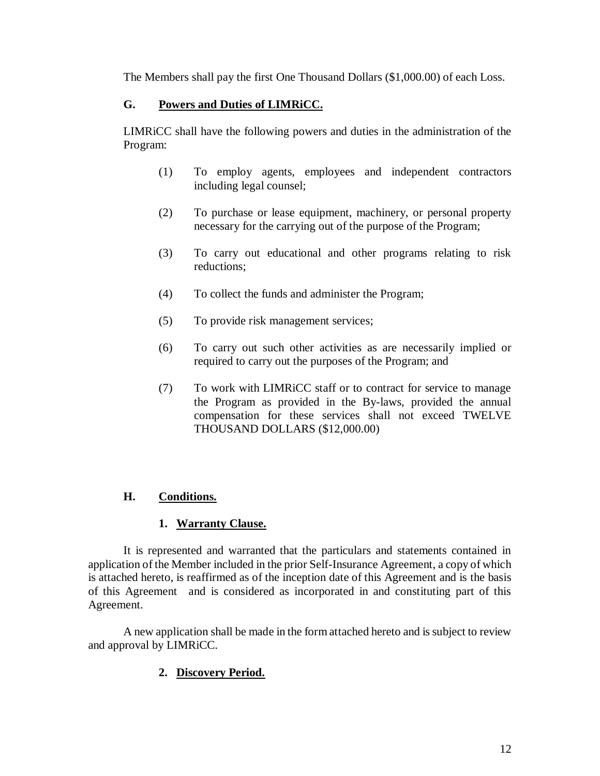The Members shall pay the first One Thousand Dollars (\$1,000.00) of each Loss.

# **G. Powers and Duties of LIMRiCC.**

LIMRiCC shall have the following powers and duties in the administration of the Program:

- (1) To employ agents, employees and independent contractors including legal counsel;
- (2) To purchase or lease equipment, machinery, or personal property necessary for the carrying out of the purpose of the Program;
- (3) To carry out educational and other programs relating to risk reductions;
- (4) To collect the funds and administer the Program;
- (5) To provide risk management services;
- (6) To carry out such other activities as are necessarily implied or required to carry out the purposes of the Program; and
- (7) To work with LIMRiCC staff or to contract for service to manage the Program as provided in the By-laws, provided the annual compensation for these services shall not exceed TWELVE THOUSAND DOLLARS (\$12,000.00)

# **H. Conditions.**

# **1. Warranty Clause.**

It is represented and warranted that the particulars and statements contained in application of the Member included in the prior Self-Insurance Agreement, a copy of which is attached hereto, is reaffirmed as of the inception date of this Agreement and is the basis of this Agreement and is considered as incorporated in and constituting part of this Agreement.

A new application shall be made in the form attached hereto and is subject to review and approval by LIMRiCC.

# **2. Discovery Period.**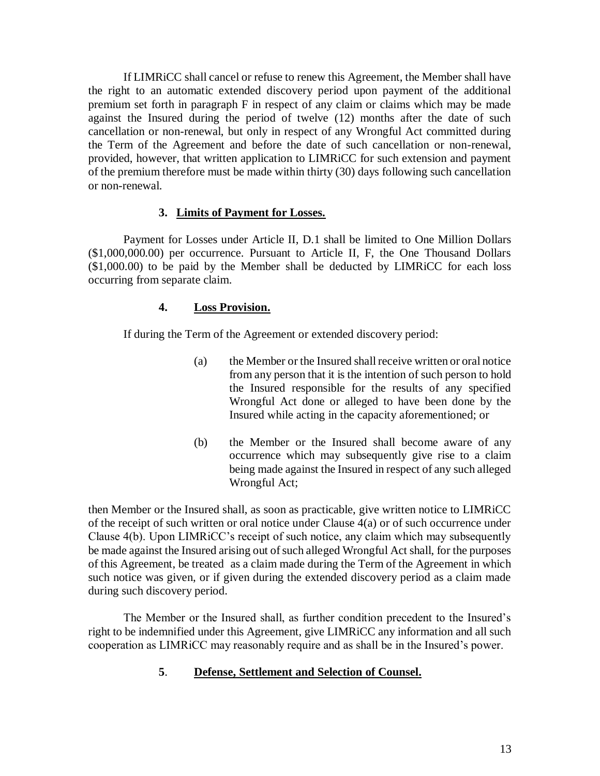If LIMRiCC shall cancel or refuse to renew this Agreement, the Member shall have the right to an automatic extended discovery period upon payment of the additional premium set forth in paragraph F in respect of any claim or claims which may be made against the Insured during the period of twelve (12) months after the date of such cancellation or non-renewal, but only in respect of any Wrongful Act committed during the Term of the Agreement and before the date of such cancellation or non-renewal, provided, however, that written application to LIMRiCC for such extension and payment of the premium therefore must be made within thirty (30) days following such cancellation or non-renewal.

## **3. Limits of Payment for Losses.**

Payment for Losses under Article II, D.1 shall be limited to One Million Dollars (\$1,000,000.00) per occurrence. Pursuant to Article II, F, the One Thousand Dollars (\$1,000.00) to be paid by the Member shall be deducted by LIMRiCC for each loss occurring from separate claim.

## **4. Loss Provision.**

If during the Term of the Agreement or extended discovery period:

- (a) the Member or the Insured shall receive written or oral notice from any person that it is the intention of such person to hold the Insured responsible for the results of any specified Wrongful Act done or alleged to have been done by the Insured while acting in the capacity aforementioned; or
- (b) the Member or the Insured shall become aware of any occurrence which may subsequently give rise to a claim being made against the Insured in respect of any such alleged Wrongful Act;

then Member or the Insured shall, as soon as practicable, give written notice to LIMRiCC of the receipt of such written or oral notice under Clause 4(a) or of such occurrence under Clause 4(b). Upon LIMRiCC's receipt of such notice, any claim which may subsequently be made against the Insured arising out of such alleged Wrongful Act shall, for the purposes of this Agreement, be treated as a claim made during the Term of the Agreement in which such notice was given, or if given during the extended discovery period as a claim made during such discovery period.

The Member or the Insured shall, as further condition precedent to the Insured's right to be indemnified under this Agreement, give LIMRiCC any information and all such cooperation as LIMRiCC may reasonably require and as shall be in the Insured's power.

# **5**. **Defense, Settlement and Selection of Counsel.**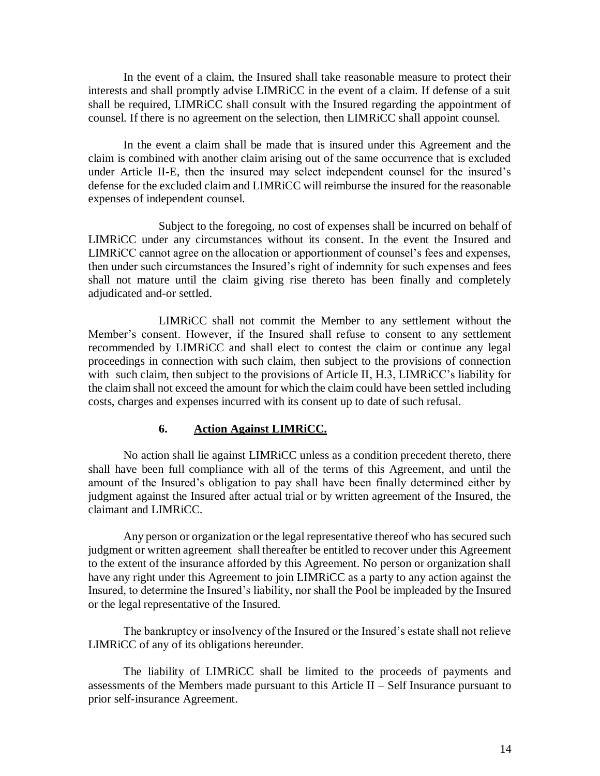In the event of a claim, the Insured shall take reasonable measure to protect their interests and shall promptly advise LIMRiCC in the event of a claim. If defense of a suit shall be required, LIMRiCC shall consult with the Insured regarding the appointment of counsel. If there is no agreement on the selection, then LIMRiCC shall appoint counsel.

In the event a claim shall be made that is insured under this Agreement and the claim is combined with another claim arising out of the same occurrence that is excluded under Article II-E, then the insured may select independent counsel for the insured's defense for the excluded claim and LIMRiCC will reimburse the insured for the reasonable expenses of independent counsel.

Subject to the foregoing, no cost of expenses shall be incurred on behalf of LIMRiCC under any circumstances without its consent. In the event the Insured and LIMRiCC cannot agree on the allocation or apportionment of counsel's fees and expenses, then under such circumstances the Insured's right of indemnity for such expenses and fees shall not mature until the claim giving rise thereto has been finally and completely adjudicated and-or settled.

LIMRiCC shall not commit the Member to any settlement without the Member's consent. However, if the Insured shall refuse to consent to any settlement recommended by LIMRiCC and shall elect to contest the claim or continue any legal proceedings in connection with such claim, then subject to the provisions of connection with such claim, then subject to the provisions of Article II, H.3, LIMRiCC's liability for the claim shall not exceed the amount for which the claim could have been settled including costs, charges and expenses incurred with its consent up to date of such refusal.

#### **6. Action Against LIMRiCC.**

No action shall lie against LIMRiCC unless as a condition precedent thereto, there shall have been full compliance with all of the terms of this Agreement, and until the amount of the Insured's obligation to pay shall have been finally determined either by judgment against the Insured after actual trial or by written agreement of the Insured, the claimant and LIMRiCC.

Any person or organization or the legal representative thereof who has secured such judgment or written agreement shall thereafter be entitled to recover under this Agreement to the extent of the insurance afforded by this Agreement. No person or organization shall have any right under this Agreement to join LIMRiCC as a party to any action against the Insured, to determine the Insured's liability, nor shall the Pool be impleaded by the Insured or the legal representative of the Insured.

The bankruptcy or insolvency of the Insured or the Insured's estate shall not relieve LIMRiCC of any of its obligations hereunder.

The liability of LIMRiCC shall be limited to the proceeds of payments and assessments of the Members made pursuant to this Article II – Self Insurance pursuant to prior self-insurance Agreement.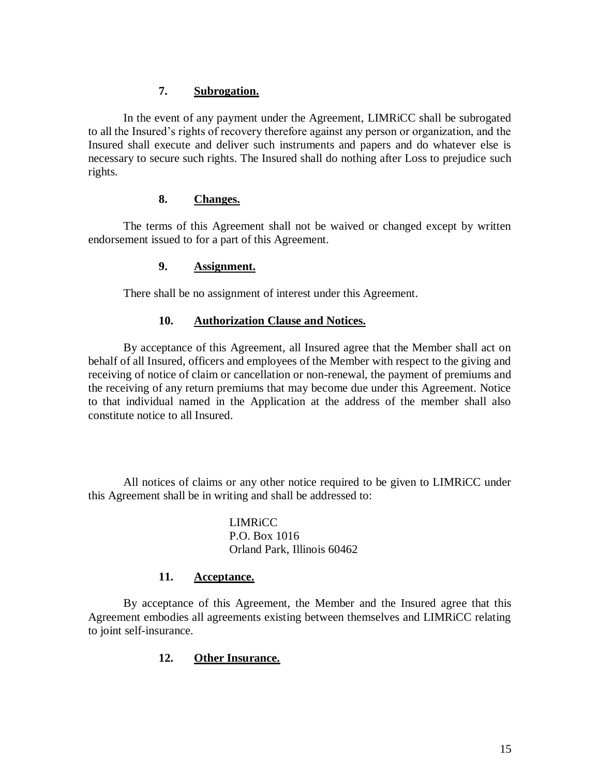## **7. Subrogation.**

In the event of any payment under the Agreement, LIMRiCC shall be subrogated to all the Insured's rights of recovery therefore against any person or organization, and the Insured shall execute and deliver such instruments and papers and do whatever else is necessary to secure such rights. The Insured shall do nothing after Loss to prejudice such rights.

## **8. Changes.**

The terms of this Agreement shall not be waived or changed except by written endorsement issued to for a part of this Agreement.

## **9. Assignment.**

There shall be no assignment of interest under this Agreement.

## **10. Authorization Clause and Notices.**

By acceptance of this Agreement, all Insured agree that the Member shall act on behalf of all Insured, officers and employees of the Member with respect to the giving and receiving of notice of claim or cancellation or non-renewal, the payment of premiums and the receiving of any return premiums that may become due under this Agreement. Notice to that individual named in the Application at the address of the member shall also constitute notice to all Insured.

All notices of claims or any other notice required to be given to LIMRiCC under this Agreement shall be in writing and shall be addressed to:

> LIMRiCC P.O. Box 1016 Orland Park, Illinois 60462

# **11. Acceptance.**

By acceptance of this Agreement, the Member and the Insured agree that this Agreement embodies all agreements existing between themselves and LIMRiCC relating to joint self-insurance.

# **12. Other Insurance.**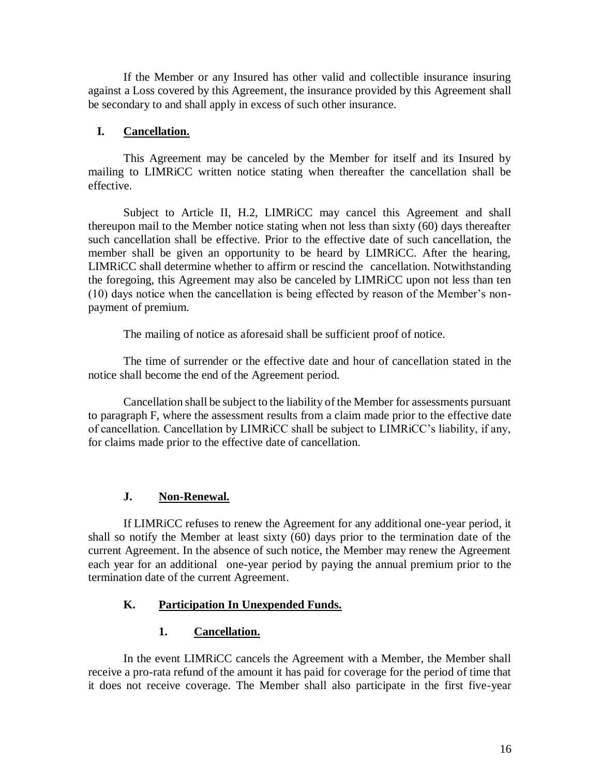If the Member or any Insured has other valid and collectible insurance insuring against a Loss covered by this Agreement, the insurance provided by this Agreement shall be secondary to and shall apply in excess of such other insurance.

# **I. Cancellation.**

This Agreement may be canceled by the Member for itself and its Insured by mailing to LIMRiCC written notice stating when thereafter the cancellation shall be effective.

Subject to Article II, H.2, LIMRiCC may cancel this Agreement and shall thereupon mail to the Member notice stating when not less than sixty (60) days thereafter such cancellation shall be effective. Prior to the effective date of such cancellation, the member shall be given an opportunity to be heard by LIMRiCC. After the hearing, LIMRiCC shall determine whether to affirm or rescind the cancellation. Notwithstanding the foregoing, this Agreement may also be canceled by LIMRiCC upon not less than ten (10) days notice when the cancellation is being effected by reason of the Member's nonpayment of premium.

The mailing of notice as aforesaid shall be sufficient proof of notice.

The time of surrender or the effective date and hour of cancellation stated in the notice shall become the end of the Agreement period.

Cancellation shall be subject to the liability of the Member for assessments pursuant to paragraph F, where the assessment results from a claim made prior to the effective date of cancellation. Cancellation by LIMRiCC shall be subject to LIMRiCC's liability, if any, for claims made prior to the effective date of cancellation.

# **J. Non-Renewal.**

If LIMRiCC refuses to renew the Agreement for any additional one-year period, it shall so notify the Member at least sixty (60) days prior to the termination date of the current Agreement. In the absence of such notice, the Member may renew the Agreement each year for an additional one-year period by paying the annual premium prior to the termination date of the current Agreement.

# **K. Participation In Unexpended Funds.**

# **1. Cancellation.**

In the event LIMRiCC cancels the Agreement with a Member, the Member shall receive a pro-rata refund of the amount it has paid for coverage for the period of time that it does not receive coverage. The Member shall also participate in the first five-year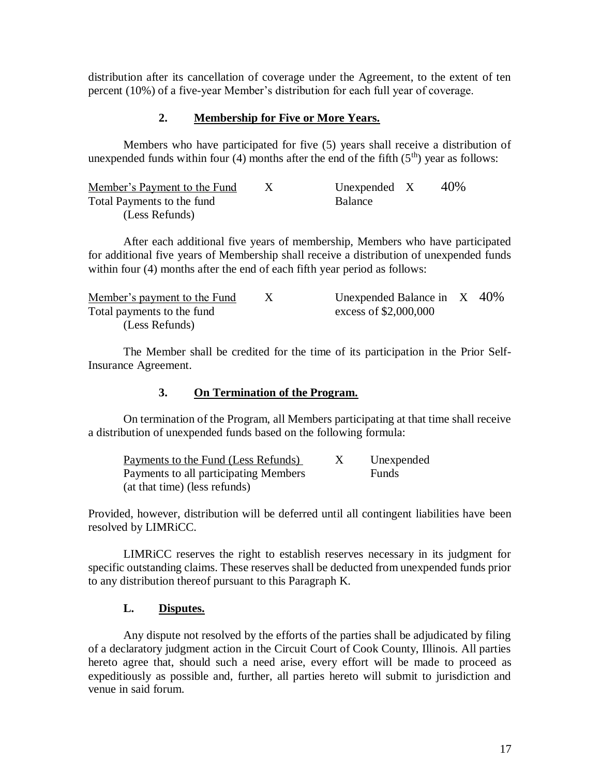distribution after its cancellation of coverage under the Agreement, to the extent of ten percent (10%) of a five-year Member's distribution for each full year of coverage.

### **2. Membership for Five or More Years.**

Members who have participated for five (5) years shall receive a distribution of unexpended funds within four (4) months after the end of the fifth  $(5<sup>th</sup>)$  year as follows:

| Member's Payment to the Fund | Unexpended $X$ | 40% |
|------------------------------|----------------|-----|
| Total Payments to the fund   | <b>Balance</b> |     |
| (Less Refunds)               |                |     |

After each additional five years of membership, Members who have participated for additional five years of Membership shall receive a distribution of unexpended funds within four (4) months after the end of each fifth year period as follows:

| Member's payment to the Fund | Unexpended Balance in $X$ 40% |  |
|------------------------------|-------------------------------|--|
| Total payments to the fund   | excess of \$2,000,000         |  |
| (Less Refunds)               |                               |  |

The Member shall be credited for the time of its participation in the Prior Self-Insurance Agreement.

### **3. On Termination of the Program.**

On termination of the Program, all Members participating at that time shall receive a distribution of unexpended funds based on the following formula:

| Payments to the Fund (Less Refunds)   | Unexpended   |
|---------------------------------------|--------------|
| Payments to all participating Members | <b>Funds</b> |
| (at that time) (less refunds)         |              |

Provided, however, distribution will be deferred until all contingent liabilities have been resolved by LIMRiCC.

LIMRiCC reserves the right to establish reserves necessary in its judgment for specific outstanding claims. These reserves shall be deducted from unexpended funds prior to any distribution thereof pursuant to this Paragraph K.

### **L. Disputes.**

Any dispute not resolved by the efforts of the parties shall be adjudicated by filing of a declaratory judgment action in the Circuit Court of Cook County, Illinois. All parties hereto agree that, should such a need arise, every effort will be made to proceed as expeditiously as possible and, further, all parties hereto will submit to jurisdiction and venue in said forum.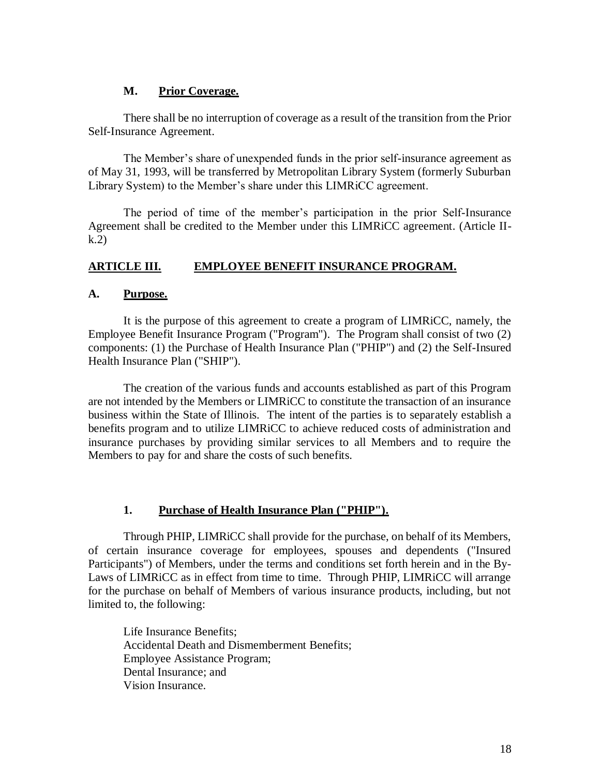### **M. Prior Coverage.**

There shall be no interruption of coverage as a result of the transition from the Prior Self-Insurance Agreement.

The Member's share of unexpended funds in the prior self-insurance agreement as of May 31, 1993, will be transferred by Metropolitan Library System (formerly Suburban Library System) to the Member's share under this LIMRiCC agreement.

The period of time of the member's participation in the prior Self-Insurance Agreement shall be credited to the Member under this LIMRiCC agreement. (Article IIk.2)

## **ARTICLE III. EMPLOYEE BENEFIT INSURANCE PROGRAM.**

#### **A. Purpose.**

It is the purpose of this agreement to create a program of LIMRiCC, namely, the Employee Benefit Insurance Program ("Program"). The Program shall consist of two (2) components: (1) the Purchase of Health Insurance Plan ("PHIP") and (2) the Self-Insured Health Insurance Plan ("SHIP").

The creation of the various funds and accounts established as part of this Program are not intended by the Members or LIMRiCC to constitute the transaction of an insurance business within the State of Illinois. The intent of the parties is to separately establish a benefits program and to utilize LIMRiCC to achieve reduced costs of administration and insurance purchases by providing similar services to all Members and to require the Members to pay for and share the costs of such benefits.

### **1. Purchase of Health Insurance Plan ("PHIP").**

Through PHIP, LIMRiCC shall provide for the purchase, on behalf of its Members, of certain insurance coverage for employees, spouses and dependents ("Insured Participants") of Members, under the terms and conditions set forth herein and in the By-Laws of LIMRiCC as in effect from time to time. Through PHIP, LIMRiCC will arrange for the purchase on behalf of Members of various insurance products, including, but not limited to, the following:

Life Insurance Benefits; Accidental Death and Dismemberment Benefits; Employee Assistance Program; Dental Insurance; and Vision Insurance.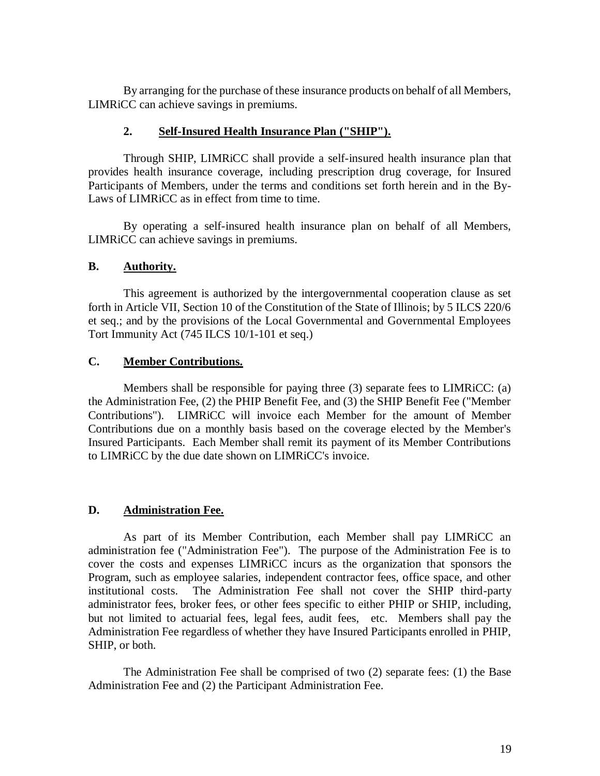By arranging for the purchase of these insurance products on behalf of all Members, LIMRiCC can achieve savings in premiums.

### **2. Self-Insured Health Insurance Plan ("SHIP").**

Through SHIP, LIMRiCC shall provide a self-insured health insurance plan that provides health insurance coverage, including prescription drug coverage, for Insured Participants of Members, under the terms and conditions set forth herein and in the By-Laws of LIMRiCC as in effect from time to time.

By operating a self-insured health insurance plan on behalf of all Members, LIMRiCC can achieve savings in premiums.

#### **B. Authority.**

This agreement is authorized by the intergovernmental cooperation clause as set forth in Article VII, Section 10 of the Constitution of the State of Illinois; by 5 ILCS 220/6 et seq.; and by the provisions of the Local Governmental and Governmental Employees Tort Immunity Act (745 ILCS 10/1-101 et seq.)

#### **C. Member Contributions.**

Members shall be responsible for paying three (3) separate fees to LIMRiCC: (a) the Administration Fee, (2) the PHIP Benefit Fee, and (3) the SHIP Benefit Fee ("Member Contributions"). LIMRiCC will invoice each Member for the amount of Member Contributions due on a monthly basis based on the coverage elected by the Member's Insured Participants. Each Member shall remit its payment of its Member Contributions to LIMRiCC by the due date shown on LIMRiCC's invoice.

#### **D. Administration Fee.**

As part of its Member Contribution, each Member shall pay LIMRiCC an administration fee ("Administration Fee"). The purpose of the Administration Fee is to cover the costs and expenses LIMRiCC incurs as the organization that sponsors the Program, such as employee salaries, independent contractor fees, office space, and other institutional costs. The Administration Fee shall not cover the SHIP third-party administrator fees, broker fees, or other fees specific to either PHIP or SHIP, including, but not limited to actuarial fees, legal fees, audit fees, etc. Members shall pay the Administration Fee regardless of whether they have Insured Participants enrolled in PHIP, SHIP, or both.

The Administration Fee shall be comprised of two (2) separate fees: (1) the Base Administration Fee and (2) the Participant Administration Fee.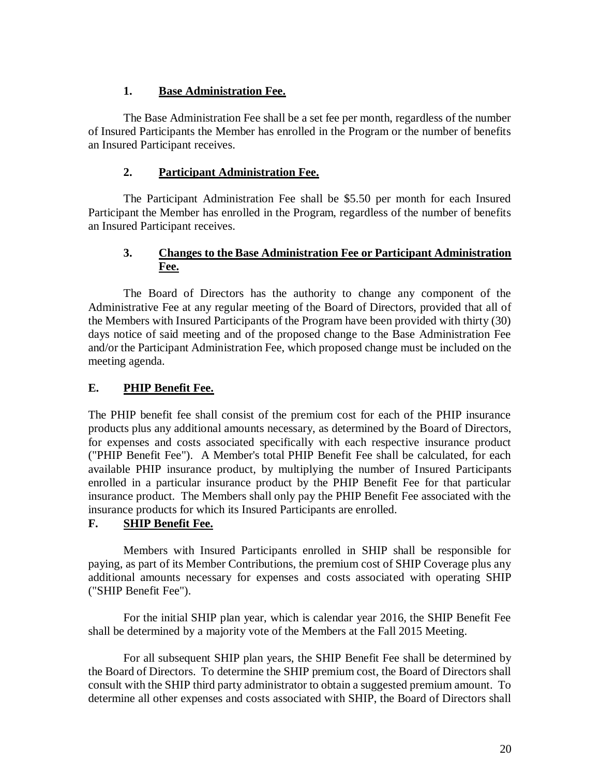# **1. Base Administration Fee.**

The Base Administration Fee shall be a set fee per month, regardless of the number of Insured Participants the Member has enrolled in the Program or the number of benefits an Insured Participant receives.

# **2. Participant Administration Fee.**

The Participant Administration Fee shall be \$5.50 per month for each Insured Participant the Member has enrolled in the Program, regardless of the number of benefits an Insured Participant receives.

# **3. Changes to the Base Administration Fee or Participant Administration Fee.**

The Board of Directors has the authority to change any component of the Administrative Fee at any regular meeting of the Board of Directors, provided that all of the Members with Insured Participants of the Program have been provided with thirty (30) days notice of said meeting and of the proposed change to the Base Administration Fee and/or the Participant Administration Fee, which proposed change must be included on the meeting agenda.

# **E. PHIP Benefit Fee.**

The PHIP benefit fee shall consist of the premium cost for each of the PHIP insurance products plus any additional amounts necessary, as determined by the Board of Directors, for expenses and costs associated specifically with each respective insurance product ("PHIP Benefit Fee"). A Member's total PHIP Benefit Fee shall be calculated, for each available PHIP insurance product, by multiplying the number of Insured Participants enrolled in a particular insurance product by the PHIP Benefit Fee for that particular insurance product. The Members shall only pay the PHIP Benefit Fee associated with the insurance products for which its Insured Participants are enrolled.

# **F. SHIP Benefit Fee.**

Members with Insured Participants enrolled in SHIP shall be responsible for paying, as part of its Member Contributions, the premium cost of SHIP Coverage plus any additional amounts necessary for expenses and costs associated with operating SHIP ("SHIP Benefit Fee").

For the initial SHIP plan year, which is calendar year 2016, the SHIP Benefit Fee shall be determined by a majority vote of the Members at the Fall 2015 Meeting.

For all subsequent SHIP plan years, the SHIP Benefit Fee shall be determined by the Board of Directors. To determine the SHIP premium cost, the Board of Directors shall consult with the SHIP third party administrator to obtain a suggested premium amount. To determine all other expenses and costs associated with SHIP, the Board of Directors shall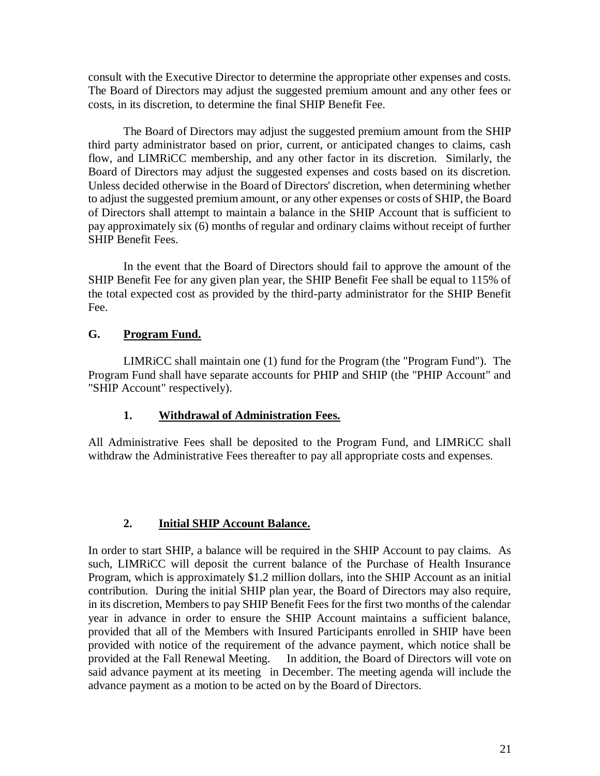consult with the Executive Director to determine the appropriate other expenses and costs. The Board of Directors may adjust the suggested premium amount and any other fees or costs, in its discretion, to determine the final SHIP Benefit Fee.

The Board of Directors may adjust the suggested premium amount from the SHIP third party administrator based on prior, current, or anticipated changes to claims, cash flow, and LIMRiCC membership, and any other factor in its discretion. Similarly, the Board of Directors may adjust the suggested expenses and costs based on its discretion. Unless decided otherwise in the Board of Directors' discretion, when determining whether to adjust the suggested premium amount, or any other expenses or costs of SHIP, the Board of Directors shall attempt to maintain a balance in the SHIP Account that is sufficient to pay approximately six (6) months of regular and ordinary claims without receipt of further SHIP Benefit Fees.

In the event that the Board of Directors should fail to approve the amount of the SHIP Benefit Fee for any given plan year, the SHIP Benefit Fee shall be equal to 115% of the total expected cost as provided by the third-party administrator for the SHIP Benefit Fee.

# **G. Program Fund.**

LIMRiCC shall maintain one (1) fund for the Program (the "Program Fund"). The Program Fund shall have separate accounts for PHIP and SHIP (the "PHIP Account" and "SHIP Account" respectively).

# **1. Withdrawal of Administration Fees.**

All Administrative Fees shall be deposited to the Program Fund, and LIMRiCC shall withdraw the Administrative Fees thereafter to pay all appropriate costs and expenses.

# **2. Initial SHIP Account Balance.**

In order to start SHIP, a balance will be required in the SHIP Account to pay claims. As such, LIMRiCC will deposit the current balance of the Purchase of Health Insurance Program, which is approximately \$1.2 million dollars, into the SHIP Account as an initial contribution. During the initial SHIP plan year, the Board of Directors may also require, in its discretion, Members to pay SHIP Benefit Fees for the first two months of the calendar year in advance in order to ensure the SHIP Account maintains a sufficient balance, provided that all of the Members with Insured Participants enrolled in SHIP have been provided with notice of the requirement of the advance payment, which notice shall be provided at the Fall Renewal Meeting. In addition, the Board of Directors will vote on said advance payment at its meeting in December. The meeting agenda will include the advance payment as a motion to be acted on by the Board of Directors.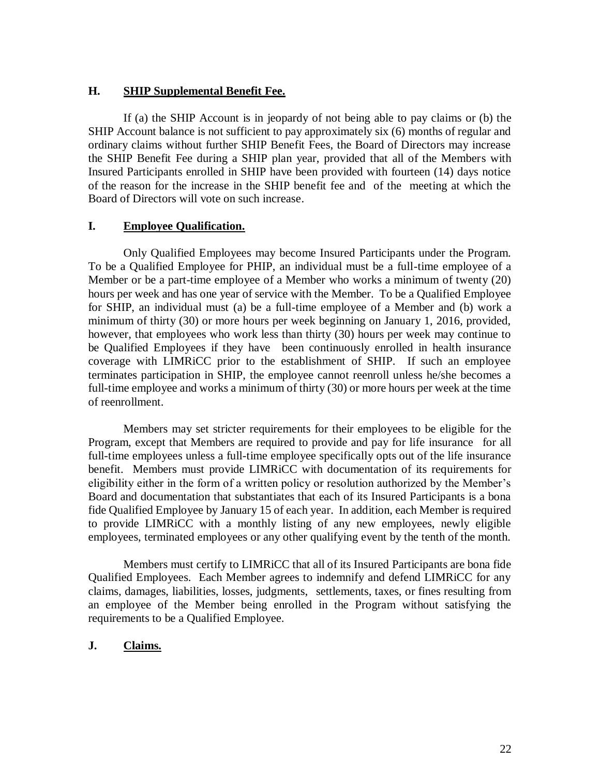### **H. SHIP Supplemental Benefit Fee.**

If (a) the SHIP Account is in jeopardy of not being able to pay claims or (b) the SHIP Account balance is not sufficient to pay approximately six (6) months of regular and ordinary claims without further SHIP Benefit Fees, the Board of Directors may increase the SHIP Benefit Fee during a SHIP plan year, provided that all of the Members with Insured Participants enrolled in SHIP have been provided with fourteen (14) days notice of the reason for the increase in the SHIP benefit fee and of the meeting at which the Board of Directors will vote on such increase.

## **I. Employee Qualification.**

Only Qualified Employees may become Insured Participants under the Program. To be a Qualified Employee for PHIP, an individual must be a full-time employee of a Member or be a part-time employee of a Member who works a minimum of twenty (20) hours per week and has one year of service with the Member. To be a Qualified Employee for SHIP, an individual must (a) be a full-time employee of a Member and (b) work a minimum of thirty (30) or more hours per week beginning on January 1, 2016, provided, however, that employees who work less than thirty (30) hours per week may continue to be Qualified Employees if they have been continuously enrolled in health insurance coverage with LIMRiCC prior to the establishment of SHIP. If such an employee terminates participation in SHIP, the employee cannot reenroll unless he/she becomes a full-time employee and works a minimum of thirty (30) or more hours per week at the time of reenrollment.

Members may set stricter requirements for their employees to be eligible for the Program, except that Members are required to provide and pay for life insurance for all full-time employees unless a full-time employee specifically opts out of the life insurance benefit. Members must provide LIMRiCC with documentation of its requirements for eligibility either in the form of a written policy or resolution authorized by the Member's Board and documentation that substantiates that each of its Insured Participants is a bona fide Qualified Employee by January 15 of each year. In addition, each Member is required to provide LIMRiCC with a monthly listing of any new employees, newly eligible employees, terminated employees or any other qualifying event by the tenth of the month.

Members must certify to LIMRiCC that all of its Insured Participants are bona fide Qualified Employees. Each Member agrees to indemnify and defend LIMRiCC for any claims, damages, liabilities, losses, judgments, settlements, taxes, or fines resulting from an employee of the Member being enrolled in the Program without satisfying the requirements to be a Qualified Employee.

### **J. Claims.**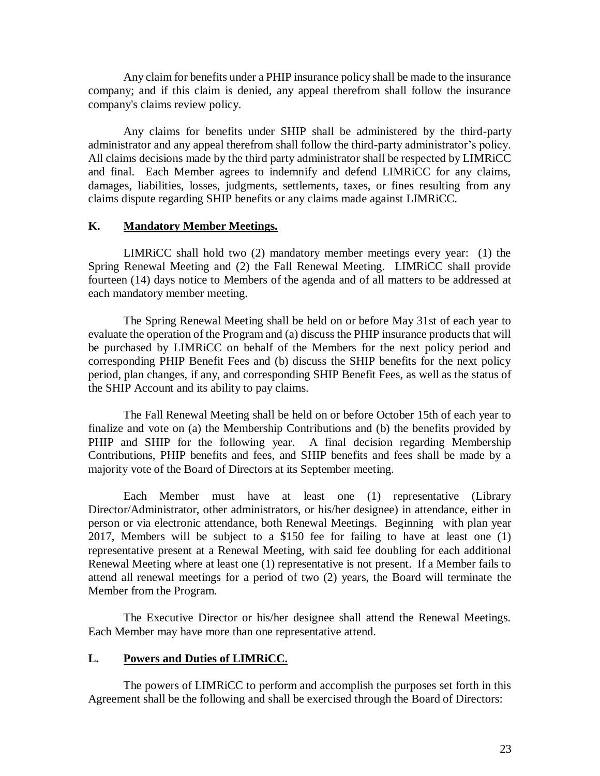Any claim for benefits under a PHIP insurance policy shall be made to the insurance company; and if this claim is denied, any appeal therefrom shall follow the insurance company's claims review policy.

Any claims for benefits under SHIP shall be administered by the third-party administrator and any appeal therefrom shall follow the third-party administrator's policy. All claims decisions made by the third party administrator shall be respected by LIMRiCC and final. Each Member agrees to indemnify and defend LIMRiCC for any claims, damages, liabilities, losses, judgments, settlements, taxes, or fines resulting from any claims dispute regarding SHIP benefits or any claims made against LIMRiCC.

### **K. Mandatory Member Meetings.**

LIMRiCC shall hold two (2) mandatory member meetings every year: (1) the Spring Renewal Meeting and (2) the Fall Renewal Meeting. LIMRiCC shall provide fourteen (14) days notice to Members of the agenda and of all matters to be addressed at each mandatory member meeting.

The Spring Renewal Meeting shall be held on or before May 31st of each year to evaluate the operation of the Program and (a) discuss the PHIP insurance products that will be purchased by LIMRiCC on behalf of the Members for the next policy period and corresponding PHIP Benefit Fees and (b) discuss the SHIP benefits for the next policy period, plan changes, if any, and corresponding SHIP Benefit Fees, as well as the status of the SHIP Account and its ability to pay claims.

The Fall Renewal Meeting shall be held on or before October 15th of each year to finalize and vote on (a) the Membership Contributions and (b) the benefits provided by PHIP and SHIP for the following year. A final decision regarding Membership Contributions, PHIP benefits and fees, and SHIP benefits and fees shall be made by a majority vote of the Board of Directors at its September meeting.

Each Member must have at least one (1) representative (Library Director/Administrator, other administrators, or his/her designee) in attendance, either in person or via electronic attendance, both Renewal Meetings. Beginning with plan year 2017, Members will be subject to a \$150 fee for failing to have at least one (1) representative present at a Renewal Meeting, with said fee doubling for each additional Renewal Meeting where at least one (1) representative is not present. If a Member fails to attend all renewal meetings for a period of two (2) years, the Board will terminate the Member from the Program.

The Executive Director or his/her designee shall attend the Renewal Meetings. Each Member may have more than one representative attend.

# **L. Powers and Duties of LIMRiCC.**

The powers of LIMRiCC to perform and accomplish the purposes set forth in this Agreement shall be the following and shall be exercised through the Board of Directors: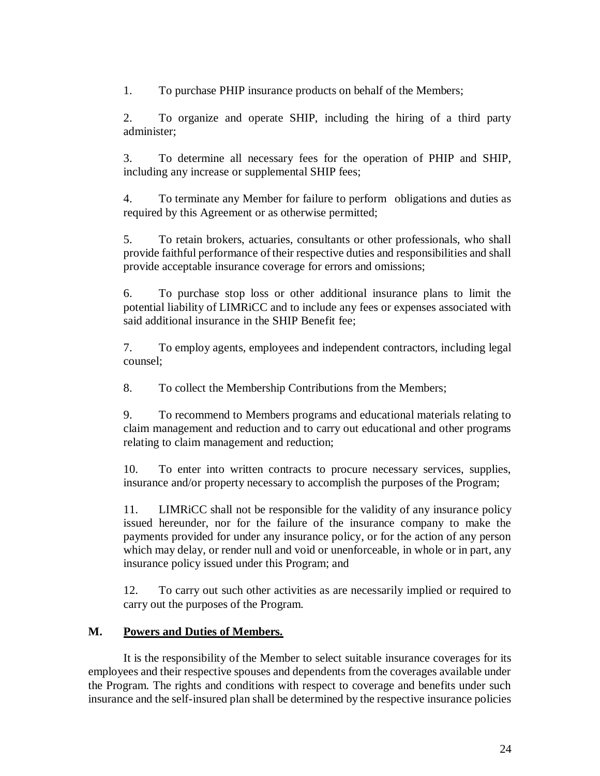1. To purchase PHIP insurance products on behalf of the Members;

2. To organize and operate SHIP, including the hiring of a third party administer;

3. To determine all necessary fees for the operation of PHIP and SHIP, including any increase or supplemental SHIP fees;

4. To terminate any Member for failure to perform obligations and duties as required by this Agreement or as otherwise permitted;

5. To retain brokers, actuaries, consultants or other professionals, who shall provide faithful performance of their respective duties and responsibilities and shall provide acceptable insurance coverage for errors and omissions;

6. To purchase stop loss or other additional insurance plans to limit the potential liability of LIMRiCC and to include any fees or expenses associated with said additional insurance in the SHIP Benefit fee;

7. To employ agents, employees and independent contractors, including legal counsel;

8. To collect the Membership Contributions from the Members;

9. To recommend to Members programs and educational materials relating to claim management and reduction and to carry out educational and other programs relating to claim management and reduction;

10. To enter into written contracts to procure necessary services, supplies, insurance and/or property necessary to accomplish the purposes of the Program;

11. LIMRiCC shall not be responsible for the validity of any insurance policy issued hereunder, nor for the failure of the insurance company to make the payments provided for under any insurance policy, or for the action of any person which may delay, or render null and void or unenforceable, in whole or in part, any insurance policy issued under this Program; and

12. To carry out such other activities as are necessarily implied or required to carry out the purposes of the Program.

### **M. Powers and Duties of Members.**

It is the responsibility of the Member to select suitable insurance coverages for its employees and their respective spouses and dependents from the coverages available under the Program. The rights and conditions with respect to coverage and benefits under such insurance and the self-insured plan shall be determined by the respective insurance policies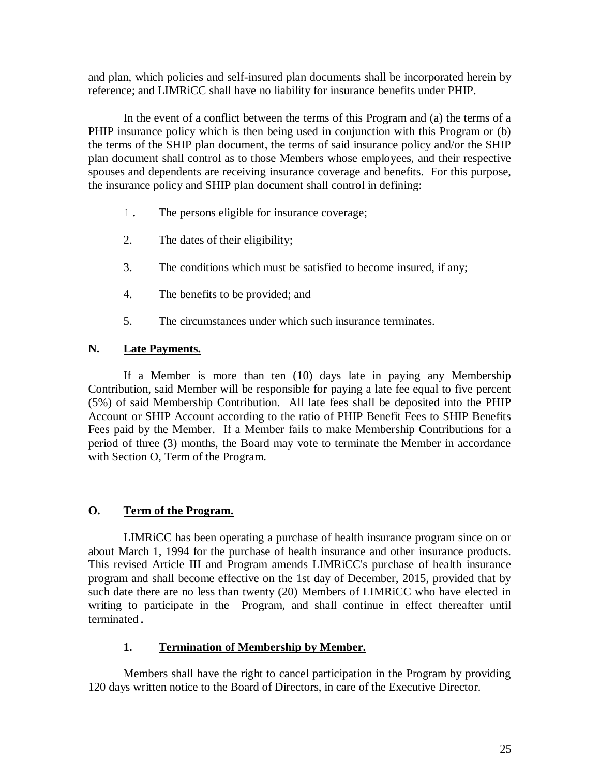and plan, which policies and self-insured plan documents shall be incorporated herein by reference; and LIMRiCC shall have no liability for insurance benefits under PHIP.

In the event of a conflict between the terms of this Program and (a) the terms of a PHIP insurance policy which is then being used in conjunction with this Program or (b) the terms of the SHIP plan document, the terms of said insurance policy and/or the SHIP plan document shall control as to those Members whose employees, and their respective spouses and dependents are receiving insurance coverage and benefits. For this purpose, the insurance policy and SHIP plan document shall control in defining:

- 1. The persons eligible for insurance coverage;
- 2. The dates of their eligibility;
- 3. The conditions which must be satisfied to become insured, if any;
- 4. The benefits to be provided; and
- 5. The circumstances under which such insurance terminates.

## **N. Late Payments.**

If a Member is more than ten (10) days late in paying any Membership Contribution, said Member will be responsible for paying a late fee equal to five percent (5%) of said Membership Contribution. All late fees shall be deposited into the PHIP Account or SHIP Account according to the ratio of PHIP Benefit Fees to SHIP Benefits Fees paid by the Member. If a Member fails to make Membership Contributions for a period of three (3) months, the Board may vote to terminate the Member in accordance with Section O, Term of the Program.

### **O. Term of the Program.**

LIMRiCC has been operating a purchase of health insurance program since on or about March 1, 1994 for the purchase of health insurance and other insurance products. This revised Article III and Program amends LIMRiCC's purchase of health insurance program and shall become effective on the 1st day of December, 2015, provided that by such date there are no less than twenty (20) Members of LIMRiCC who have elected in writing to participate in the Program, and shall continue in effect thereafter until terminated.

### **1. Termination of Membership by Member.**

Members shall have the right to cancel participation in the Program by providing 120 days written notice to the Board of Directors, in care of the Executive Director.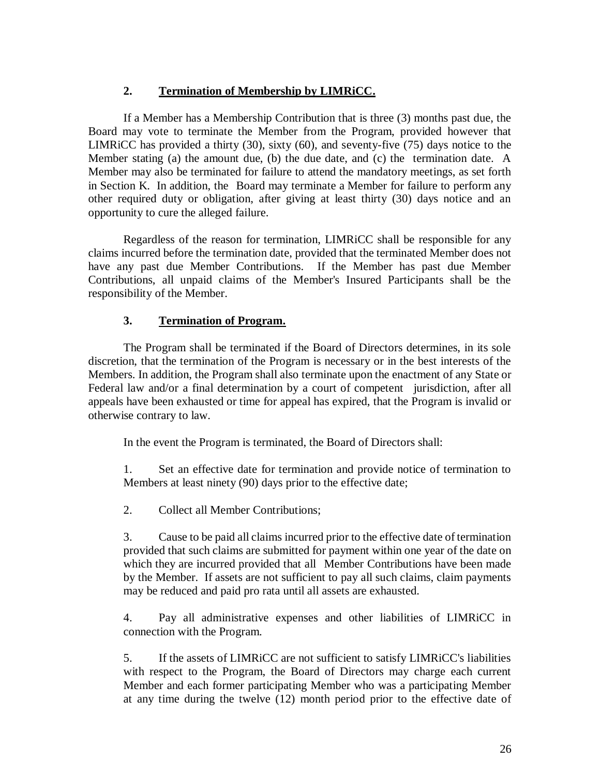# **2. Termination of Membership by LIMRiCC.**

If a Member has a Membership Contribution that is three (3) months past due, the Board may vote to terminate the Member from the Program, provided however that LIMRiCC has provided a thirty (30), sixty (60), and seventy-five (75) days notice to the Member stating (a) the amount due, (b) the due date, and (c) the termination date. A Member may also be terminated for failure to attend the mandatory meetings, as set forth in Section K. In addition, the Board may terminate a Member for failure to perform any other required duty or obligation, after giving at least thirty (30) days notice and an opportunity to cure the alleged failure.

Regardless of the reason for termination, LIMRiCC shall be responsible for any claims incurred before the termination date, provided that the terminated Member does not have any past due Member Contributions. If the Member has past due Member Contributions, all unpaid claims of the Member's Insured Participants shall be the responsibility of the Member.

# **3. Termination of Program.**

The Program shall be terminated if the Board of Directors determines, in its sole discretion, that the termination of the Program is necessary or in the best interests of the Members. In addition, the Program shall also terminate upon the enactment of any State or Federal law and/or a final determination by a court of competent jurisdiction, after all appeals have been exhausted or time for appeal has expired, that the Program is invalid or otherwise contrary to law.

In the event the Program is terminated, the Board of Directors shall:

1. Set an effective date for termination and provide notice of termination to Members at least ninety (90) days prior to the effective date;

2. Collect all Member Contributions;

3. Cause to be paid all claims incurred prior to the effective date of termination provided that such claims are submitted for payment within one year of the date on which they are incurred provided that all Member Contributions have been made by the Member. If assets are not sufficient to pay all such claims, claim payments may be reduced and paid pro rata until all assets are exhausted.

4. Pay all administrative expenses and other liabilities of LIMRiCC in connection with the Program.

5. If the assets of LIMRiCC are not sufficient to satisfy LIMRiCC's liabilities with respect to the Program, the Board of Directors may charge each current Member and each former participating Member who was a participating Member at any time during the twelve (12) month period prior to the effective date of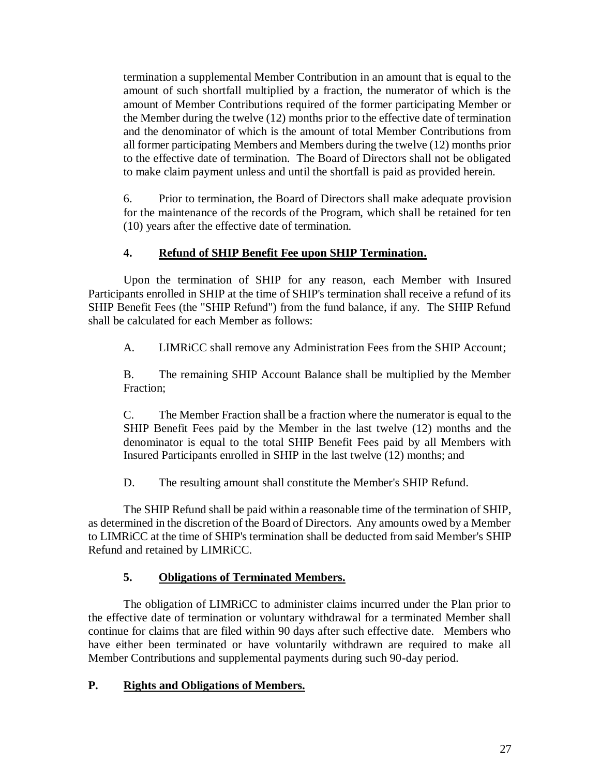termination a supplemental Member Contribution in an amount that is equal to the amount of such shortfall multiplied by a fraction, the numerator of which is the amount of Member Contributions required of the former participating Member or the Member during the twelve (12) months prior to the effective date of termination and the denominator of which is the amount of total Member Contributions from all former participating Members and Members during the twelve (12) months prior to the effective date of termination. The Board of Directors shall not be obligated to make claim payment unless and until the shortfall is paid as provided herein.

6. Prior to termination, the Board of Directors shall make adequate provision for the maintenance of the records of the Program, which shall be retained for ten (10) years after the effective date of termination.

# **4. Refund of SHIP Benefit Fee upon SHIP Termination.**

Upon the termination of SHIP for any reason, each Member with Insured Participants enrolled in SHIP at the time of SHIP's termination shall receive a refund of its SHIP Benefit Fees (the "SHIP Refund") from the fund balance, if any. The SHIP Refund shall be calculated for each Member as follows:

A. LIMRiCC shall remove any Administration Fees from the SHIP Account;

B. The remaining SHIP Account Balance shall be multiplied by the Member Fraction;

C. The Member Fraction shall be a fraction where the numerator is equal to the SHIP Benefit Fees paid by the Member in the last twelve (12) months and the denominator is equal to the total SHIP Benefit Fees paid by all Members with Insured Participants enrolled in SHIP in the last twelve (12) months; and

D. The resulting amount shall constitute the Member's SHIP Refund.

The SHIP Refund shall be paid within a reasonable time of the termination of SHIP, as determined in the discretion of the Board of Directors. Any amounts owed by a Member to LIMRiCC at the time of SHIP's termination shall be deducted from said Member's SHIP Refund and retained by LIMRiCC.

# **5. Obligations of Terminated Members.**

The obligation of LIMRiCC to administer claims incurred under the Plan prior to the effective date of termination or voluntary withdrawal for a terminated Member shall continue for claims that are filed within 90 days after such effective date. Members who have either been terminated or have voluntarily withdrawn are required to make all Member Contributions and supplemental payments during such 90-day period.

# **P. Rights and Obligations of Members.**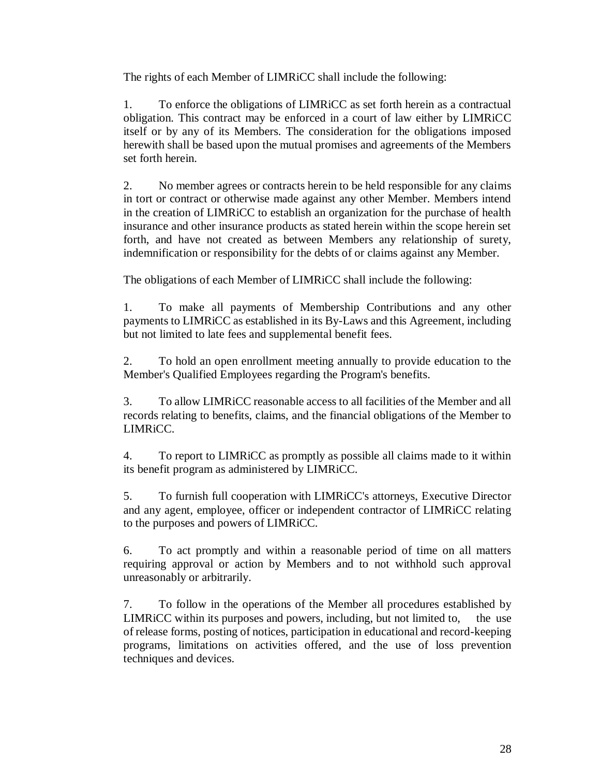The rights of each Member of LIMRiCC shall include the following:

1. To enforce the obligations of LIMRiCC as set forth herein as a contractual obligation. This contract may be enforced in a court of law either by LIMRiCC itself or by any of its Members. The consideration for the obligations imposed herewith shall be based upon the mutual promises and agreements of the Members set forth herein.

2. No member agrees or contracts herein to be held responsible for any claims in tort or contract or otherwise made against any other Member. Members intend in the creation of LIMRiCC to establish an organization for the purchase of health insurance and other insurance products as stated herein within the scope herein set forth, and have not created as between Members any relationship of surety, indemnification or responsibility for the debts of or claims against any Member.

The obligations of each Member of LIMRiCC shall include the following:

1. To make all payments of Membership Contributions and any other payments to LIMRiCC as established in its By-Laws and this Agreement, including but not limited to late fees and supplemental benefit fees.

2. To hold an open enrollment meeting annually to provide education to the Member's Qualified Employees regarding the Program's benefits.

3. To allow LIMRiCC reasonable access to all facilities of the Member and all records relating to benefits, claims, and the financial obligations of the Member to LIMRiCC.

4. To report to LIMRiCC as promptly as possible all claims made to it within its benefit program as administered by LIMRiCC.

5. To furnish full cooperation with LIMRiCC's attorneys, Executive Director and any agent, employee, officer or independent contractor of LIMRiCC relating to the purposes and powers of LIMRiCC.

6. To act promptly and within a reasonable period of time on all matters requiring approval or action by Members and to not withhold such approval unreasonably or arbitrarily.

7. To follow in the operations of the Member all procedures established by LIMRiCC within its purposes and powers, including, but not limited to, the use of release forms, posting of notices, participation in educational and record-keeping programs, limitations on activities offered, and the use of loss prevention techniques and devices.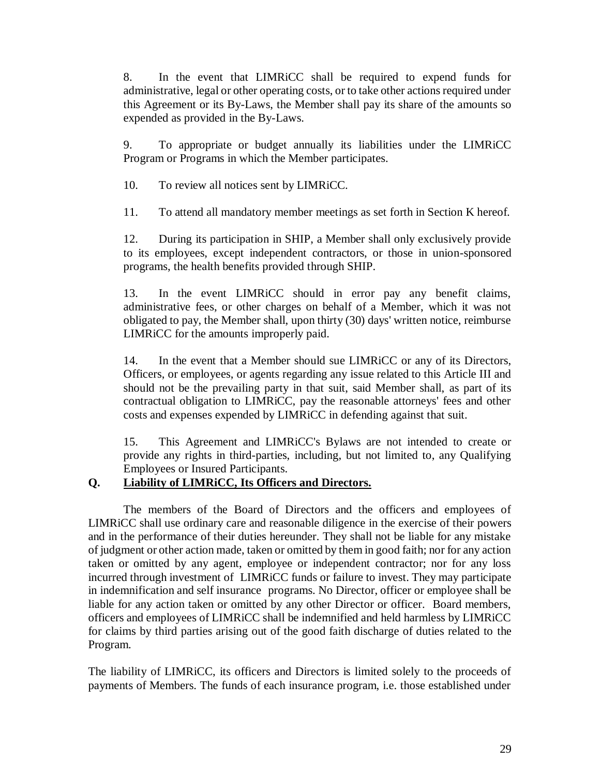8. In the event that LIMRiCC shall be required to expend funds for administrative, legal or other operating costs, or to take other actions required under this Agreement or its By-Laws, the Member shall pay its share of the amounts so expended as provided in the By-Laws.

9. To appropriate or budget annually its liabilities under the LIMRiCC Program or Programs in which the Member participates.

10. To review all notices sent by LIMRiCC.

11. To attend all mandatory member meetings as set forth in Section K hereof.

12. During its participation in SHIP, a Member shall only exclusively provide to its employees, except independent contractors, or those in union-sponsored programs, the health benefits provided through SHIP.

13. In the event LIMRiCC should in error pay any benefit claims, administrative fees, or other charges on behalf of a Member, which it was not obligated to pay, the Member shall, upon thirty (30) days' written notice, reimburse LIMRiCC for the amounts improperly paid.

14. In the event that a Member should sue LIMRiCC or any of its Directors, Officers, or employees, or agents regarding any issue related to this Article III and should not be the prevailing party in that suit, said Member shall, as part of its contractual obligation to LIMRiCC, pay the reasonable attorneys' fees and other costs and expenses expended by LIMRiCC in defending against that suit.

15. This Agreement and LIMRiCC's Bylaws are not intended to create or provide any rights in third-parties, including, but not limited to, any Qualifying Employees or Insured Participants.

# **Q. Liability of LIMRiCC, Its Officers and Directors.**

The members of the Board of Directors and the officers and employees of LIMRiCC shall use ordinary care and reasonable diligence in the exercise of their powers and in the performance of their duties hereunder. They shall not be liable for any mistake of judgment or other action made, taken or omitted by them in good faith; nor for any action taken or omitted by any agent, employee or independent contractor; nor for any loss incurred through investment of LIMRiCC funds or failure to invest. They may participate in indemnification and self insurance programs. No Director, officer or employee shall be liable for any action taken or omitted by any other Director or officer. Board members, officers and employees of LIMRiCC shall be indemnified and held harmless by LIMRiCC for claims by third parties arising out of the good faith discharge of duties related to the Program.

The liability of LIMRiCC, its officers and Directors is limited solely to the proceeds of payments of Members. The funds of each insurance program, i.e. those established under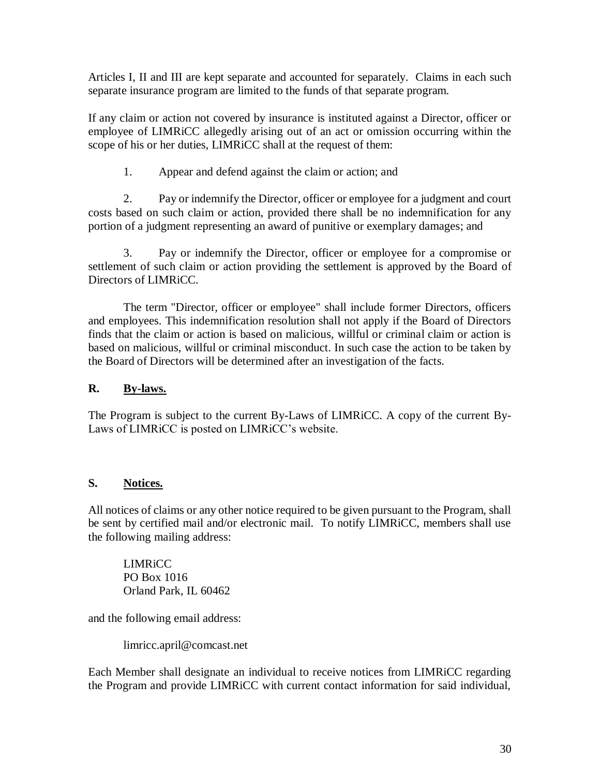Articles I, II and III are kept separate and accounted for separately. Claims in each such separate insurance program are limited to the funds of that separate program.

If any claim or action not covered by insurance is instituted against a Director, officer or employee of LIMRiCC allegedly arising out of an act or omission occurring within the scope of his or her duties, LIMRiCC shall at the request of them:

1. Appear and defend against the claim or action; and

2. Pay or indemnify the Director, officer or employee for a judgment and court costs based on such claim or action, provided there shall be no indemnification for any portion of a judgment representing an award of punitive or exemplary damages; and

3. Pay or indemnify the Director, officer or employee for a compromise or settlement of such claim or action providing the settlement is approved by the Board of Directors of LIMRiCC.

The term "Director, officer or employee" shall include former Directors, officers and employees. This indemnification resolution shall not apply if the Board of Directors finds that the claim or action is based on malicious, willful or criminal claim or action is based on malicious, willful or criminal misconduct. In such case the action to be taken by the Board of Directors will be determined after an investigation of the facts.

# **R. By-laws.**

The Program is subject to the current By-Laws of LIMRiCC. A copy of the current By-Laws of LIMRiCC is posted on LIMRiCC's website.

# **S. Notices.**

All notices of claims or any other notice required to be given pursuant to the Program, shall be sent by certified mail and/or electronic mail. To notify LIMRiCC, members shall use the following mailing address:

LIMRiCC PO Box 1016 Orland Park, IL 60462

and the following email address:

limricc.april@comcast.net

Each Member shall designate an individual to receive notices from LIMRiCC regarding the Program and provide LIMRiCC with current contact information for said individual,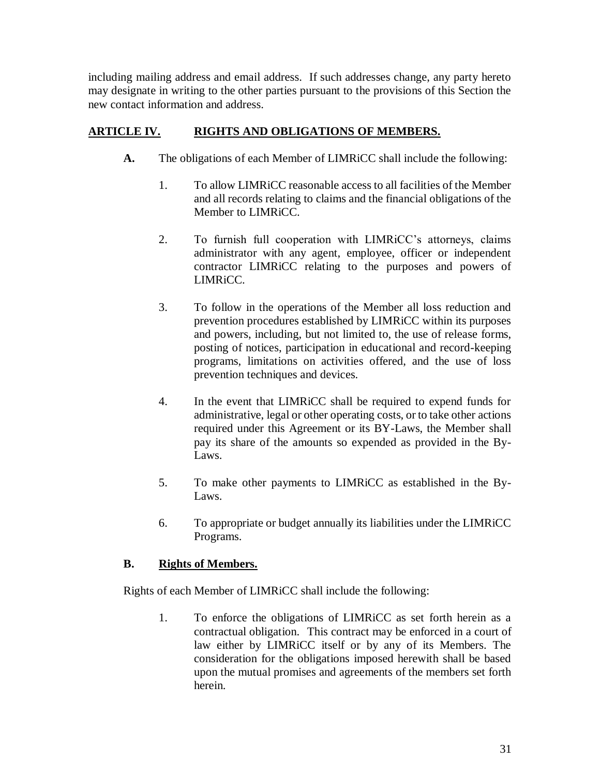including mailing address and email address. If such addresses change, any party hereto may designate in writing to the other parties pursuant to the provisions of this Section the new contact information and address.

# **ARTICLE IV. RIGHTS AND OBLIGATIONS OF MEMBERS.**

- **A.** The obligations of each Member of LIMRiCC shall include the following:
	- 1. To allow LIMRiCC reasonable access to all facilities of the Member and all records relating to claims and the financial obligations of the Member to LIMRiCC.
	- 2. To furnish full cooperation with LIMRiCC's attorneys, claims administrator with any agent, employee, officer or independent contractor LIMRiCC relating to the purposes and powers of LIMR<sub>iCC</sub>
	- 3. To follow in the operations of the Member all loss reduction and prevention procedures established by LIMRiCC within its purposes and powers, including, but not limited to, the use of release forms, posting of notices, participation in educational and record-keeping programs, limitations on activities offered, and the use of loss prevention techniques and devices.
	- 4. In the event that LIMRiCC shall be required to expend funds for administrative, legal or other operating costs, or to take other actions required under this Agreement or its BY-Laws, the Member shall pay its share of the amounts so expended as provided in the By-Laws.
	- 5. To make other payments to LIMRiCC as established in the By-Laws.
	- 6. To appropriate or budget annually its liabilities under the LIMRiCC Programs.

# **B. Rights of Members.**

Rights of each Member of LIMRiCC shall include the following:

1. To enforce the obligations of LIMRiCC as set forth herein as a contractual obligation. This contract may be enforced in a court of law either by LIMRiCC itself or by any of its Members. The consideration for the obligations imposed herewith shall be based upon the mutual promises and agreements of the members set forth herein.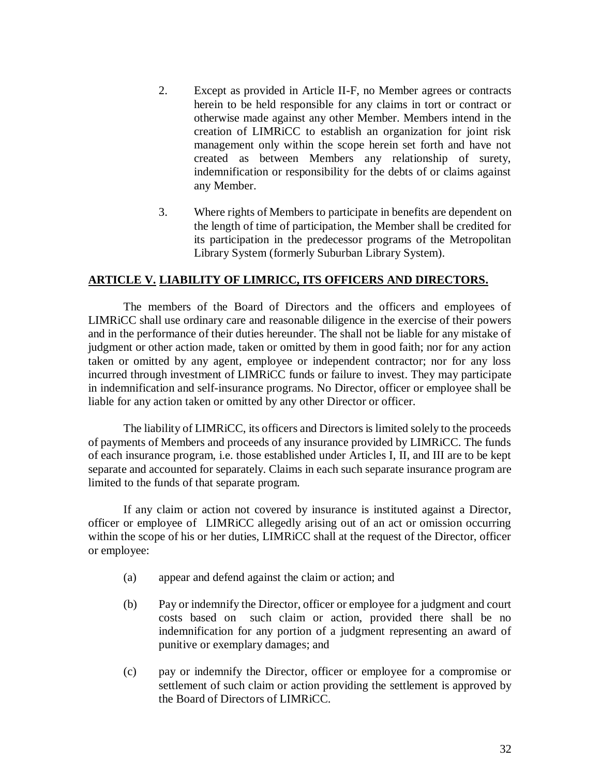- 2. Except as provided in Article II-F, no Member agrees or contracts herein to be held responsible for any claims in tort or contract or otherwise made against any other Member. Members intend in the creation of LIMRiCC to establish an organization for joint risk management only within the scope herein set forth and have not created as between Members any relationship of surety, indemnification or responsibility for the debts of or claims against any Member.
- 3. Where rights of Members to participate in benefits are dependent on the length of time of participation, the Member shall be credited for its participation in the predecessor programs of the Metropolitan Library System (formerly Suburban Library System).

### **ARTICLE V. LIABILITY OF LIMRICC, ITS OFFICERS AND DIRECTORS.**

The members of the Board of Directors and the officers and employees of LIMRiCC shall use ordinary care and reasonable diligence in the exercise of their powers and in the performance of their duties hereunder. The shall not be liable for any mistake of judgment or other action made, taken or omitted by them in good faith; nor for any action taken or omitted by any agent, employee or independent contractor; nor for any loss incurred through investment of LIMRiCC funds or failure to invest. They may participate in indemnification and self-insurance programs. No Director, officer or employee shall be liable for any action taken or omitted by any other Director or officer.

The liability of LIMRiCC, its officers and Directors is limited solely to the proceeds of payments of Members and proceeds of any insurance provided by LIMRiCC. The funds of each insurance program, i.e. those established under Articles I, II, and III are to be kept separate and accounted for separately. Claims in each such separate insurance program are limited to the funds of that separate program.

If any claim or action not covered by insurance is instituted against a Director, officer or employee of LIMRiCC allegedly arising out of an act or omission occurring within the scope of his or her duties, LIMRiCC shall at the request of the Director, officer or employee:

- (a) appear and defend against the claim or action; and
- (b) Pay or indemnify the Director, officer or employee for a judgment and court costs based on such claim or action, provided there shall be no indemnification for any portion of a judgment representing an award of punitive or exemplary damages; and
- (c) pay or indemnify the Director, officer or employee for a compromise or settlement of such claim or action providing the settlement is approved by the Board of Directors of LIMRiCC.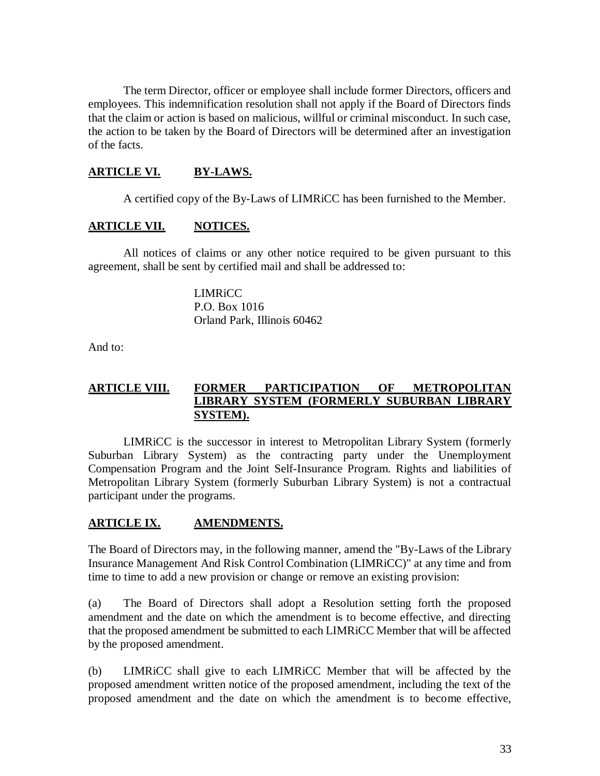The term Director, officer or employee shall include former Directors, officers and employees. This indemnification resolution shall not apply if the Board of Directors finds that the claim or action is based on malicious, willful or criminal misconduct. In such case, the action to be taken by the Board of Directors will be determined after an investigation of the facts.

## **ARTICLE VI. BY-LAWS.**

A certified copy of the By-Laws of LIMRiCC has been furnished to the Member.

### **ARTICLE VII. NOTICES.**

All notices of claims or any other notice required to be given pursuant to this agreement, shall be sent by certified mail and shall be addressed to:

> LIMRiCC P.O. Box 1016 Orland Park, Illinois 60462

And to:

### **ARTICLE VIII. FORMER PARTICIPATION OF METROPOLITAN LIBRARY SYSTEM (FORMERLY SUBURBAN LIBRARY SYSTEM).**

LIMRiCC is the successor in interest to Metropolitan Library System (formerly Suburban Library System) as the contracting party under the Unemployment Compensation Program and the Joint Self-Insurance Program. Rights and liabilities of Metropolitan Library System (formerly Suburban Library System) is not a contractual participant under the programs.

### **ARTICLE IX. AMENDMENTS.**

The Board of Directors may, in the following manner, amend the "By-Laws of the Library Insurance Management And Risk Control Combination (LIMRiCC)" at any time and from time to time to add a new provision or change or remove an existing provision:

(a) The Board of Directors shall adopt a Resolution setting forth the proposed amendment and the date on which the amendment is to become effective, and directing that the proposed amendment be submitted to each LIMRiCC Member that will be affected by the proposed amendment.

(b) LIMRiCC shall give to each LIMRiCC Member that will be affected by the proposed amendment written notice of the proposed amendment, including the text of the proposed amendment and the date on which the amendment is to become effective,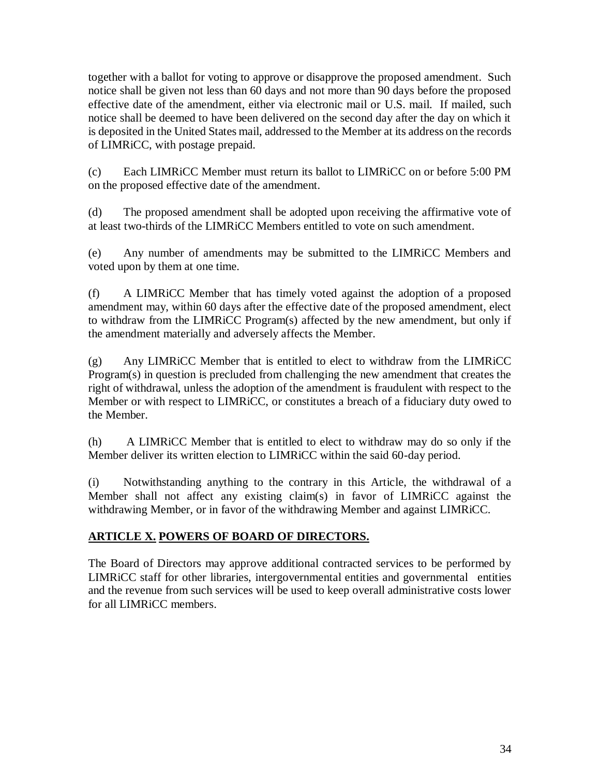together with a ballot for voting to approve or disapprove the proposed amendment. Such notice shall be given not less than 60 days and not more than 90 days before the proposed effective date of the amendment, either via electronic mail or U.S. mail. If mailed, such notice shall be deemed to have been delivered on the second day after the day on which it is deposited in the United States mail, addressed to the Member at its address on the records of LIMRiCC, with postage prepaid.

(c) Each LIMRiCC Member must return its ballot to LIMRiCC on or before 5:00 PM on the proposed effective date of the amendment.

(d) The proposed amendment shall be adopted upon receiving the affirmative vote of at least two-thirds of the LIMRiCC Members entitled to vote on such amendment.

(e) Any number of amendments may be submitted to the LIMRiCC Members and voted upon by them at one time.

(f) A LIMRiCC Member that has timely voted against the adoption of a proposed amendment may, within 60 days after the effective date of the proposed amendment, elect to withdraw from the LIMRiCC Program(s) affected by the new amendment, but only if the amendment materially and adversely affects the Member.

(g) Any LIMRiCC Member that is entitled to elect to withdraw from the LIMRiCC Program(s) in question is precluded from challenging the new amendment that creates the right of withdrawal, unless the adoption of the amendment is fraudulent with respect to the Member or with respect to LIMRiCC, or constitutes a breach of a fiduciary duty owed to the Member.

(h) A LIMRiCC Member that is entitled to elect to withdraw may do so only if the Member deliver its written election to LIMRiCC within the said 60-day period.

(i) Notwithstanding anything to the contrary in this Article, the withdrawal of a Member shall not affect any existing claim(s) in favor of LIMRiCC against the withdrawing Member, or in favor of the withdrawing Member and against LIMRiCC.

# **ARTICLE X. POWERS OF BOARD OF DIRECTORS.**

The Board of Directors may approve additional contracted services to be performed by LIMRiCC staff for other libraries, intergovernmental entities and governmental entities and the revenue from such services will be used to keep overall administrative costs lower for all LIMRiCC members.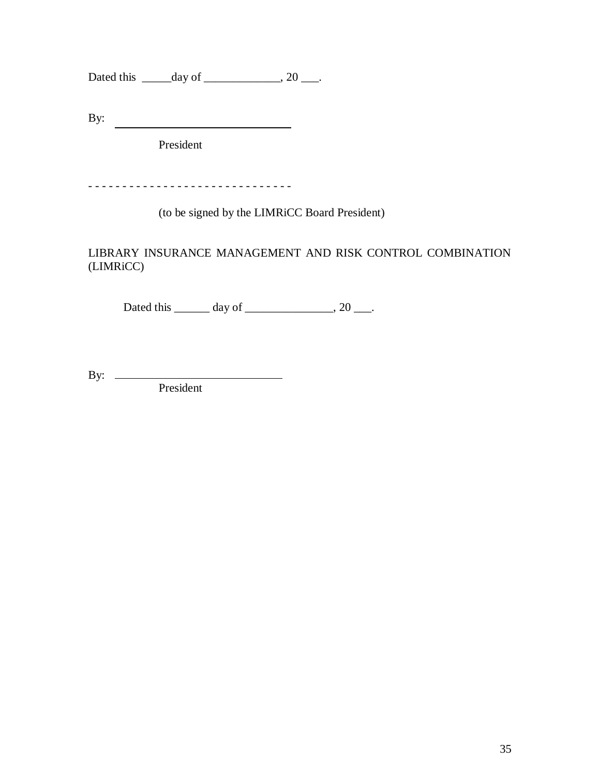Dated this  $\_\_\_\_\_\_\_\$  of  $\_\_\_\_\_\_\_\_\$ , 20  $\_\_\_\_\$ .

By:

President

- - - - - - - - - - - - - - - - - - - - - - - - - - - - - -

(to be signed by the LIMRiCC Board President)

LIBRARY INSURANCE MANAGEMENT AND RISK CONTROL COMBINATION (LIMRiCC)

Dated this  $\_\_\_\_$  day of  $\_\_\_\_\_\_\_$ , 20  $\_\_\_\_\.$ 

By: President

35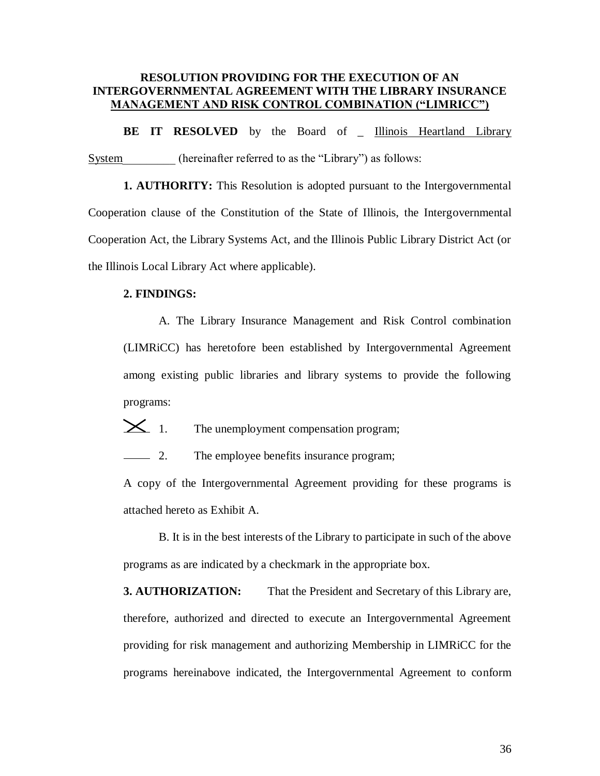### **RESOLUTION PROVIDING FOR THE EXECUTION OF AN INTERGOVERNMENTAL AGREEMENT WITH THE LIBRARY INSURANCE MANAGEMENT AND RISK CONTROL COMBINATION ("LIMRICC")**

**BE IT RESOLVED** by the Board of \_ Illinois Heartland Library System (hereinafter referred to as the "Library") as follows:

**1. AUTHORITY:** This Resolution is adopted pursuant to the Intergovernmental Cooperation clause of the Constitution of the State of Illinois, the Intergovernmental Cooperation Act, the Library Systems Act, and the Illinois Public Library District Act (or the Illinois Local Library Act where applicable).

#### **2. FINDINGS:**

A. The Library Insurance Management and Risk Control combination (LIMRiCC) has heretofore been established by Intergovernmental Agreement among existing public libraries and library systems to provide the following programs:

 $\geq$  1. The unemployment compensation program;

2. The employee benefits insurance program;

A copy of the Intergovernmental Agreement providing for these programs is attached hereto as Exhibit A.

B. It is in the best interests of the Library to participate in such of the above programs as are indicated by a checkmark in the appropriate box.

**3. AUTHORIZATION:** That the President and Secretary of this Library are, therefore, authorized and directed to execute an Intergovernmental Agreement providing for risk management and authorizing Membership in LIMRiCC for the programs hereinabove indicated, the Intergovernmental Agreement to conform